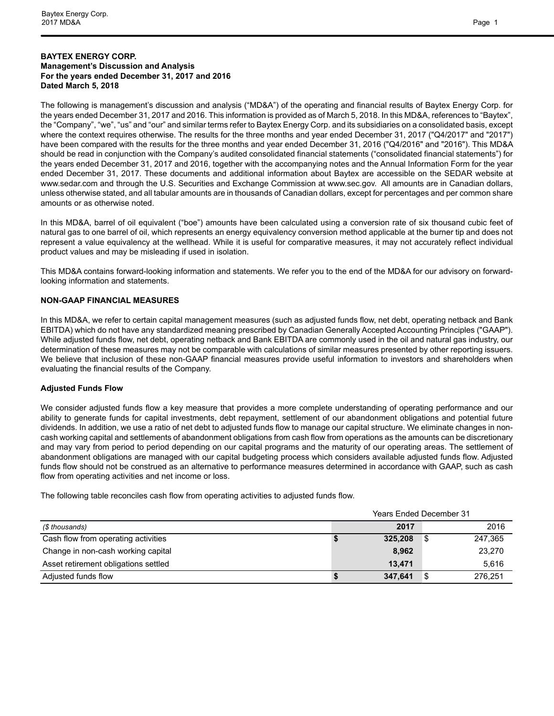## **BAYTEX ENERGY CORP. Management's Discussion and Analysis For the years ended December 31, 2017 and 2016 Dated March 5, 2018**

The following is management's discussion and analysis ("MD&A") of the operating and financial results of Baytex Energy Corp. for the years ended December 31, 2017 and 2016. This information is provided as of March 5, 2018. In this MD&A, references to "Baytex", the "Company", "we", "us" and "our" and similar terms refer to Baytex Energy Corp. and its subsidiaries on a consolidated basis, except where the context requires otherwise. The results for the three months and year ended December 31, 2017 ("Q4/2017" and "2017") have been compared with the results for the three months and year ended December 31, 2016 ("Q4/2016" and "2016"). This MD&A should be read in conjunction with the Company's audited consolidated financial statements ("consolidated financial statements") for the years ended December 31, 2017 and 2016, together with the accompanying notes and the Annual Information Form for the year ended December 31, 2017. These documents and additional information about Baytex are accessible on the SEDAR website at www.sedar.com and through the U.S. Securities and Exchange Commission at www.sec.gov. All amounts are in Canadian dollars, unless otherwise stated, and all tabular amounts are in thousands of Canadian dollars, except for percentages and per common share amounts or as otherwise noted.

In this MD&A, barrel of oil equivalent ("boe") amounts have been calculated using a conversion rate of six thousand cubic feet of natural gas to one barrel of oil, which represents an energy equivalency conversion method applicable at the burner tip and does not represent a value equivalency at the wellhead. While it is useful for comparative measures, it may not accurately reflect individual product values and may be misleading if used in isolation.

This MD&A contains forward-looking information and statements. We refer you to the end of the MD&A for our advisory on forwardlooking information and statements.

## **NON-GAAP FINANCIAL MEASURES**

In this MD&A, we refer to certain capital management measures (such as adjusted funds flow, net debt, operating netback and Bank EBITDA) which do not have any standardized meaning prescribed by Canadian Generally Accepted Accounting Principles ("GAAP"). While adjusted funds flow, net debt, operating netback and Bank EBITDA are commonly used in the oil and natural gas industry, our determination of these measures may not be comparable with calculations of similar measures presented by other reporting issuers. We believe that inclusion of these non-GAAP financial measures provide useful information to investors and shareholders when evaluating the financial results of the Company.

## **Adjusted Funds Flow**

We consider adjusted funds flow a key measure that provides a more complete understanding of operating performance and our ability to generate funds for capital investments, debt repayment, settlement of our abandonment obligations and potential future dividends. In addition, we use a ratio of net debt to adjusted funds flow to manage our capital structure. We eliminate changes in noncash working capital and settlements of abandonment obligations from cash flow from operations as the amounts can be discretionary and may vary from period to period depending on our capital programs and the maturity of our operating areas. The settlement of abandonment obligations are managed with our capital budgeting process which considers available adjusted funds flow. Adjusted funds flow should not be construed as an alternative to performance measures determined in accordance with GAAP, such as cash flow from operating activities and net income or loss.

The following table reconciles cash flow from operating activities to adjusted funds flow.

|                                      | <b>Years Ended December 31</b> |         |
|--------------------------------------|--------------------------------|---------|
| (\$ thousands)                       | 2017                           | 2016    |
| Cash flow from operating activities  | 325,208                        | 247,365 |
| Change in non-cash working capital   | 8,962                          | 23,270  |
| Asset retirement obligations settled | 13.471                         | 5.616   |
| Adjusted funds flow                  | 347.641                        | 276.251 |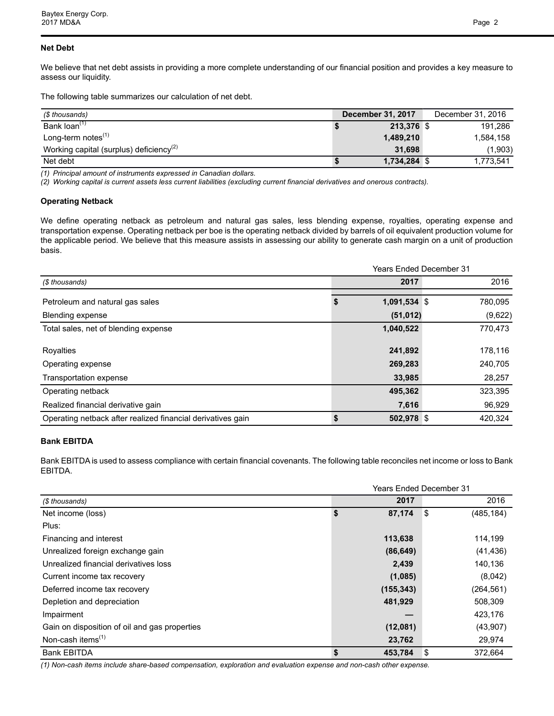## **Net Debt**

We believe that net debt assists in providing a more complete understanding of our financial position and provides a key measure to assess our liquidity.

The following table summarizes our calculation of net debt.

| (\$ thousands)                                      | <b>December 31, 2017</b> | December 31, 2016 |
|-----------------------------------------------------|--------------------------|-------------------|
| Bank loan <sup>(1)</sup>                            | 213.376 \$               | 191.286           |
| Long-term notes $(1)$                               | 1,489,210                | 1.584.158         |
| Working capital (surplus) deficiency <sup>(2)</sup> | 31.698                   | (1,903)           |
| Net debt                                            | 1,734,284                | 1,773,541         |

*(1) Principal amount of instruments expressed in Canadian dollars.* 

*(2) Working capital is current assets less current liabilities (excluding current financial derivatives and onerous contracts).* 

## **Operating Netback**

We define operating netback as petroleum and natural gas sales, less blending expense, royalties, operating expense and transportation expense. Operating netback per boe is the operating netback divided by barrels of oil equivalent production volume for the applicable period. We believe that this measure assists in assessing our ability to generate cash margin on a unit of production basis.

|                                                             | <b>Years Ended December 31</b> |         |
|-------------------------------------------------------------|--------------------------------|---------|
| (\$ thousands)                                              | 2017                           | 2016    |
| Petroleum and natural gas sales                             | 1,091,534 \$                   | 780,095 |
| <b>Blending expense</b>                                     | (51, 012)                      | (9,622) |
| Total sales, net of blending expense                        | 1,040,522                      | 770,473 |
|                                                             |                                |         |
| Royalties                                                   | 241,892                        | 178,116 |
| Operating expense                                           | 269,283                        | 240,705 |
| Transportation expense                                      | 33,985                         | 28,257  |
| Operating netback                                           | 495,362                        | 323,395 |
| Realized financial derivative gain                          | 7,616                          | 96,929  |
| Operating netback after realized financial derivatives gain | $502,978$ \$                   | 420.324 |

## **Bank EBITDA**

Bank EBITDA is used to assess compliance with certain financial covenants. The following table reconciles net income or loss to Bank EBITDA.

|                                               |               |     | Years Ended December 31 |
|-----------------------------------------------|---------------|-----|-------------------------|
| (\$ thousands)                                | 2017          |     | 2016                    |
| Net income (loss)                             | \$<br>87,174  | -\$ | (485, 184)              |
| Plus:                                         |               |     |                         |
| Financing and interest                        | 113,638       |     | 114,199                 |
| Unrealized foreign exchange gain              | (86, 649)     |     | (41, 436)               |
| Unrealized financial derivatives loss         | 2,439         |     | 140,136                 |
| Current income tax recovery                   | (1,085)       |     | (8,042)                 |
| Deferred income tax recovery                  | (155, 343)    |     | (264, 561)              |
| Depletion and depreciation                    | 481,929       |     | 508,309                 |
| Impairment                                    |               |     | 423,176                 |
| Gain on disposition of oil and gas properties | (12,081)      |     | (43,907)                |
| Non-cash items <sup>(1)</sup>                 | 23,762        |     | 29,974                  |
| <b>Bank EBITDA</b>                            | \$<br>453,784 | \$  | 372.664                 |

*(1) Non-cash items include share-based compensation, exploration and evaluation expense and non-cash other expense.*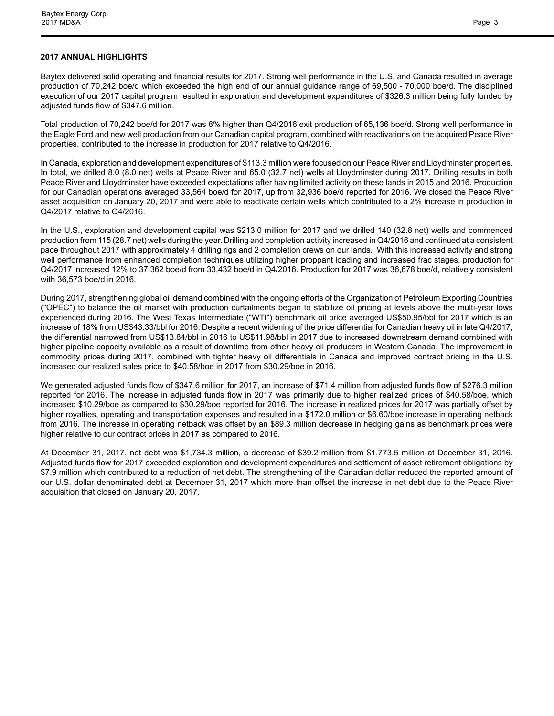## **2017 ANNUAL HIGHLIGHTS**

Baytex delivered solid operating and financial results for 2017. Strong well performance in the U.S. and Canada resulted in average production of 70,242 boe/d which exceeded the high end of our annual guidance range of 69,500 - 70,000 boe/d. The disciplined execution of our 2017 capital program resulted in exploration and development expenditures of \$326.3 million being fully funded by adjusted funds flow of \$347.6 million.

Total production of 70,242 boe/d for 2017 was 8% higher than Q4/2016 exit production of 65,136 boe/d. Strong well performance in the Eagle Ford and new well production from our Canadian capital program, combined with reactivations on the acquired Peace River properties, contributed to the increase in production for 2017 relative to Q4/2016.

In Canada, exploration and development expenditures of \$113.3 million were focused on our Peace River and Lloydminster properties. In total, we drilled 8.0 (8.0 net) wells at Peace River and 65.0 (32.7 net) wells at Lloydminster during 2017. Drilling results in both Peace River and Lloydminster have exceeded expectations after having limited activity on these lands in 2015 and 2016. Production for our Canadian operations averaged 33,564 boe/d for 2017, up from 32,936 boe/d reported for 2016. We closed the Peace River asset acquisition on January 20, 2017 and were able to reactivate certain wells which contributed to a 2% increase in production in Q4/2017 relative to Q4/2016.

In the U.S., exploration and development capital was \$213.0 million for 2017 and we drilled 140 (32.8 net) wells and commenced production from 115 (28.7 net) wells during the year. Drilling and completion activity increased in Q4/2016 and continued at a consistent pace throughout 2017 with approximately 4 drilling rigs and 2 completion crews on our lands. With this increased activity and strong well performance from enhanced completion techniques utilizing higher proppant loading and increased frac stages, production for Q4/2017 increased 12% to 37,362 boe/d from 33,432 boe/d in Q4/2016. Production for 2017 was 36,678 boe/d, relatively consistent with 36,573 boe/d in 2016.

During 2017, strengthening global oil demand combined with the ongoing efforts of the Organization of Petroleum Exporting Countries ("OPEC") to balance the oil market with production curtailments began to stabilize oil pricing at levels above the multi-year lows experienced during 2016. The West Texas Intermediate ("WTI") benchmark oil price averaged US\$50.95/bbl for 2017 which is an increase of 18% from US\$43.33/bbl for 2016. Despite a recent widening of the price differential for Canadian heavy oil in late Q4/2017, the differential narrowed from US\$13.84/bbl in 2016 to US\$11.98/bbl in 2017 due to increased downstream demand combined with higher pipeline capacity available as a result of downtime from other heavy oil producers in Western Canada. The improvement in commodity prices during 2017, combined with tighter heavy oil differentials in Canada and improved contract pricing in the U.S. increased our realized sales price to \$40.58/boe in 2017 from \$30.29/boe in 2016.

We generated adjusted funds flow of \$347.6 million for 2017, an increase of \$71.4 million from adjusted funds flow of \$276.3 million reported for 2016. The increase in adjusted funds flow in 2017 was primarily due to higher realized prices of \$40.58/boe, which increased \$10.29/boe as compared to \$30.29/boe reported for 2016. The increase in realized prices for 2017 was partially offset by higher royalties, operating and transportation expenses and resulted in a \$172.0 million or \$6.60/boe increase in operating netback from 2016. The increase in operating netback was offset by an \$89.3 million decrease in hedging gains as benchmark prices were higher relative to our contract prices in 2017 as compared to 2016.

At December 31, 2017, net debt was \$1,734.3 million, a decrease of \$39.2 million from \$1,773.5 million at December 31, 2016. Adjusted funds flow for 2017 exceeded exploration and development expenditures and settlement of asset retirement obligations by \$7.9 million which contributed to a reduction of net debt. The strengthening of the Canadian dollar reduced the reported amount of our U.S. dollar denominated debt at December 31, 2017 which more than offset the increase in net debt due to the Peace River acquisition that closed on January 20, 2017.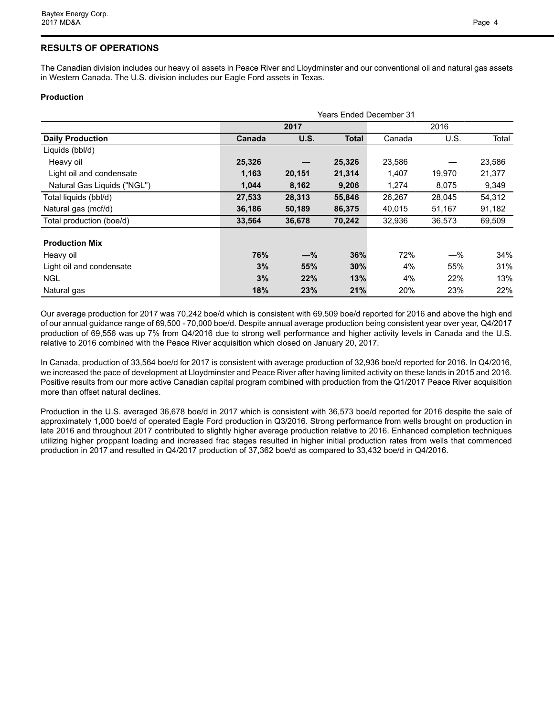# **RESULTS OF OPERATIONS**

The Canadian division includes our heavy oil assets in Peace River and Lloydminster and our conventional oil and natural gas assets in Western Canada. The U.S. division includes our Eagle Ford assets in Texas.

## **Production**

|                             |        | <b>Years Ended December 31</b> |              |        |        |        |  |  |  |  |  |  |  |
|-----------------------------|--------|--------------------------------|--------------|--------|--------|--------|--|--|--|--|--|--|--|
|                             |        | 2017                           |              |        | 2016   |        |  |  |  |  |  |  |  |
| <b>Daily Production</b>     | Canada | U.S.                           | <b>Total</b> | Canada | U.S.   | Total  |  |  |  |  |  |  |  |
| Liquids (bbl/d)             |        |                                |              |        |        |        |  |  |  |  |  |  |  |
| Heavy oil                   | 25,326 |                                | 25,326       | 23,586 |        | 23,586 |  |  |  |  |  |  |  |
| Light oil and condensate    | 1,163  | 20,151                         | 21,314       | 1,407  | 19,970 | 21,377 |  |  |  |  |  |  |  |
| Natural Gas Liquids ("NGL") | 1,044  | 8,162                          | 9,206        | 1,274  | 8,075  | 9,349  |  |  |  |  |  |  |  |
| Total liquids (bbl/d)       | 27,533 | 28,313                         | 55,846       | 26,267 | 28,045 | 54,312 |  |  |  |  |  |  |  |
| Natural gas (mcf/d)         | 36,186 | 50,189                         | 86,375       | 40,015 | 51,167 | 91,182 |  |  |  |  |  |  |  |
| Total production (boe/d)    | 33,564 | 36,678                         | 70,242       | 32,936 | 36,573 | 69,509 |  |  |  |  |  |  |  |
| <b>Production Mix</b>       |        |                                |              |        |        |        |  |  |  |  |  |  |  |
| Heavy oil                   | 76%    | $-\%$                          | 36%          | 72%    | $-\%$  | 34%    |  |  |  |  |  |  |  |
| Light oil and condensate    | 3%     | 55%                            | 30%          | 4%     | 55%    | 31%    |  |  |  |  |  |  |  |
| <b>NGL</b>                  | 3%     | 22%                            | 13%          | 4%     | 22%    | 13%    |  |  |  |  |  |  |  |
| Natural gas                 | 18%    | 23%                            | 21%          | 20%    | 23%    | 22%    |  |  |  |  |  |  |  |

Our average production for 2017 was 70,242 boe/d which is consistent with 69,509 boe/d reported for 2016 and above the high end of our annual guidance range of 69,500 - 70,000 boe/d. Despite annual average production being consistent year over year, Q4/2017 production of 69,556 was up 7% from Q4/2016 due to strong well performance and higher activity levels in Canada and the U.S. relative to 2016 combined with the Peace River acquisition which closed on January 20, 2017.

In Canada, production of 33,564 boe/d for 2017 is consistent with average production of 32,936 boe/d reported for 2016. In Q4/2016, we increased the pace of development at Lloydminster and Peace River after having limited activity on these lands in 2015 and 2016. Positive results from our more active Canadian capital program combined with production from the Q1/2017 Peace River acquisition more than offset natural declines.

Production in the U.S. averaged 36,678 boe/d in 2017 which is consistent with 36,573 boe/d reported for 2016 despite the sale of approximately 1,000 boe/d of operated Eagle Ford production in Q3/2016. Strong performance from wells brought on production in late 2016 and throughout 2017 contributed to slightly higher average production relative to 2016. Enhanced completion techniques utilizing higher proppant loading and increased frac stages resulted in higher initial production rates from wells that commenced production in 2017 and resulted in Q4/2017 production of 37,362 boe/d as compared to 33,432 boe/d in Q4/2016.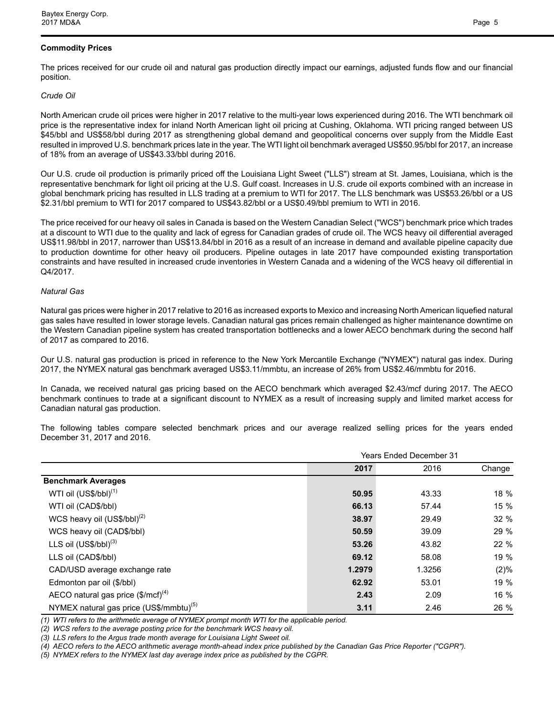## **Commodity Prices**

The prices received for our crude oil and natural gas production directly impact our earnings, adjusted funds flow and our financial position.

## *Crude Oil*

North American crude oil prices were higher in 2017 relative to the multi-year lows experienced during 2016. The WTI benchmark oil price is the representative index for inland North American light oil pricing at Cushing, Oklahoma. WTI pricing ranged between US \$45/bbl and US\$58/bbl during 2017 as strengthening global demand and geopolitical concerns over supply from the Middle East resulted in improved U.S. benchmark prices late in the year. The WTI light oil benchmark averaged US\$50.95/bbl for 2017, an increase of 18% from an average of US\$43.33/bbl during 2016.

Our U.S. crude oil production is primarily priced off the Louisiana Light Sweet ("LLS") stream at St. James, Louisiana, which is the representative benchmark for light oil pricing at the U.S. Gulf coast. Increases in U.S. crude oil exports combined with an increase in global benchmark pricing has resulted in LLS trading at a premium to WTI for 2017. The LLS benchmark was US\$53.26/bbl or a US \$2.31/bbl premium to WTI for 2017 compared to US\$43.82/bbl or a US\$0.49/bbl premium to WTI in 2016.

The price received for our heavy oil sales in Canada is based on the Western Canadian Select ("WCS") benchmark price which trades at a discount to WTI due to the quality and lack of egress for Canadian grades of crude oil. The WCS heavy oil differential averaged US\$11.98/bbl in 2017, narrower than US\$13.84/bbl in 2016 as a result of an increase in demand and available pipeline capacity due to production downtime for other heavy oil producers. Pipeline outages in late 2017 have compounded existing transportation constraints and have resulted in increased crude inventories in Western Canada and a widening of the WCS heavy oil differential in Q4/2017.

## *Natural Gas*

Natural gas prices were higher in 2017 relative to 2016 as increased exports to Mexico and increasing North American liquefied natural gas sales have resulted in lower storage levels. Canadian natural gas prices remain challenged as higher maintenance downtime on the Western Canadian pipeline system has created transportation bottlenecks and a lower AECO benchmark during the second half of 2017 as compared to 2016.

Our U.S. natural gas production is priced in reference to the New York Mercantile Exchange ("NYMEX") natural gas index. During 2017, the NYMEX natural gas benchmark averaged US\$3.11/mmbtu, an increase of 26% from US\$2.46/mmbtu for 2016.

In Canada, we received natural gas pricing based on the AECO benchmark which averaged \$2.43/mcf during 2017. The AECO benchmark continues to trade at a significant discount to NYMEX as a result of increasing supply and limited market access for Canadian natural gas production.

The following tables compare selected benchmark prices and our average realized selling prices for the years ended December 31, 2017 and 2016.

|                                                        |        | <b>Years Ended December 31</b> |         |
|--------------------------------------------------------|--------|--------------------------------|---------|
|                                                        | 2017   | 2016                           | Change  |
| <b>Benchmark Averages</b>                              |        |                                |         |
| WTI oil (US\$/bbl) <sup>(1)</sup>                      | 50.95  | 43.33                          | 18 %    |
| WTI oil (CAD\$/bbl)                                    | 66.13  | 57.44                          | 15 %    |
| WCS heavy oil $(US$/bbI)^{(2)}$                        | 38.97  | 29.49                          | 32%     |
| WCS heavy oil (CAD\$/bbl)                              | 50.59  | 39.09                          | 29 %    |
| LLS oil $(US$/bbI)^{(3)}$                              | 53.26  | 43.82                          | 22 %    |
| LLS oil (CAD\$/bbl)                                    | 69.12  | 58.08                          | 19 %    |
| CAD/USD average exchange rate                          | 1.2979 | 1.3256                         | $(2)\%$ |
| Edmonton par oil (\$/bbl)                              | 62.92  | 53.01                          | 19 %    |
| AECO natural gas price $(\text{$\text{S/mcf}$})^{(4)}$ | 2.43   | 2.09                           | 16 %    |
| NYMEX natural gas price (US\$/mmbtu) <sup>(5)</sup>    | 3.11   | 2.46                           | 26 %    |

*(1) WTI refers to the arithmetic average of NYMEX prompt month WTI for the applicable period.* 

*(2) WCS refers to the average posting price for the benchmark WCS heavy oil.* 

*(3) LLS refers to the Argus trade month average for Louisiana Light Sweet oil.*

*(4) AECO refers to the AECO arithmetic average month-ahead index price published by the Canadian Gas Price Reporter ("CGPR").*

*(5) NYMEX refers to the NYMEX last day average index price as published by the CGPR.*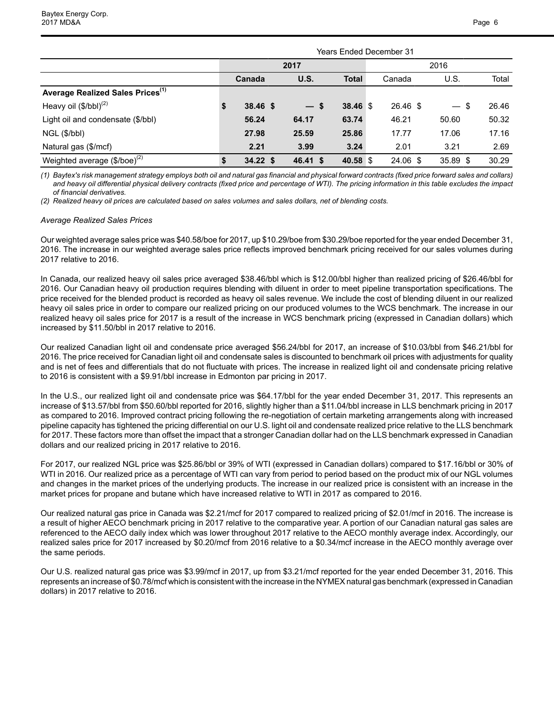|                                              |                  |          | <b>Years Ended December 31</b> |          |          |       |  |  |  |  |  |
|----------------------------------------------|------------------|----------|--------------------------------|----------|----------|-------|--|--|--|--|--|
|                                              |                  | 2017     |                                | 2016     |          |       |  |  |  |  |  |
|                                              | Canada           | U.S.     | <b>Total</b>                   | Canada   | U.S.     | Total |  |  |  |  |  |
| Average Realized Sales Prices <sup>(1)</sup> |                  |          |                                |          |          |       |  |  |  |  |  |
| Heavy oil $(\$/bbl)^{(2)}$                   | \$<br>$38.46$ \$ | $-s$     | 38.46 \$                       | 26.46 \$ | $-$ \$   | 26.46 |  |  |  |  |  |
| Light oil and condensate (\$/bbl)            | 56.24            | 64.17    | 63.74                          | 46.21    | 50.60    | 50.32 |  |  |  |  |  |
| NGL (\$/bbl)                                 | 27.98            | 25.59    | 25.86                          | 17.77    | 17.06    | 17.16 |  |  |  |  |  |
| Natural gas (\$/mcf)                         | 2.21             | 3.99     | 3.24                           | 2.01     | 3.21     | 2.69  |  |  |  |  |  |
| Weighted average $(\$/boe)^{(2)}$            | $34.22$ \$       | 46.41 \$ | 40.58 \$                       | 24.06 \$ | 35.89 \$ | 30.29 |  |  |  |  |  |

*(1) Baytex's risk management strategy employs both oil and natural gas financial and physical forward contracts (fixed price forward sales and collars)*  and heavy oil differential physical delivery contracts (fixed price and percentage of WTI). The pricing information in this table excludes the impact *of financial derivatives.* 

*(2) Realized heavy oil prices are calculated based on sales volumes and sales dollars, net of blending costs.* 

#### *Average Realized Sales Prices*

Our weighted average sales price was \$40.58/boe for 2017, up \$10.29/boe from \$30.29/boe reported for the year ended December 31, 2016. The increase in our weighted average sales price reflects improved benchmark pricing received for our sales volumes during 2017 relative to 2016.

In Canada, our realized heavy oil sales price averaged \$38.46/bbl which is \$12.00/bbl higher than realized pricing of \$26.46/bbl for 2016. Our Canadian heavy oil production requires blending with diluent in order to meet pipeline transportation specifications. The price received for the blended product is recorded as heavy oil sales revenue. We include the cost of blending diluent in our realized heavy oil sales price in order to compare our realized pricing on our produced volumes to the WCS benchmark. The increase in our realized heavy oil sales price for 2017 is a result of the increase in WCS benchmark pricing (expressed in Canadian dollars) which increased by \$11.50/bbl in 2017 relative to 2016.

Our realized Canadian light oil and condensate price averaged \$56.24/bbl for 2017, an increase of \$10.03/bbl from \$46.21/bbl for 2016. The price received for Canadian light oil and condensate sales is discounted to benchmark oil prices with adjustments for quality and is net of fees and differentials that do not fluctuate with prices. The increase in realized light oil and condensate pricing relative to 2016 is consistent with a \$9.91/bbl increase in Edmonton par pricing in 2017.

In the U.S., our realized light oil and condensate price was \$64.17/bbl for the year ended December 31, 2017. This represents an increase of \$13.57/bbl from \$50.60/bbl reported for 2016, slightly higher than a \$11.04/bbl increase in LLS benchmark pricing in 2017 as compared to 2016. Improved contract pricing following the re-negotiation of certain marketing arrangements along with increased pipeline capacity has tightened the pricing differential on our U.S. light oil and condensate realized price relative to the LLS benchmark for 2017. These factors more than offset the impact that a stronger Canadian dollar had on the LLS benchmark expressed in Canadian dollars and our realized pricing in 2017 relative to 2016.

For 2017, our realized NGL price was \$25.86/bbl or 39% of WTI (expressed in Canadian dollars) compared to \$17.16/bbl or 30% of WTI in 2016. Our realized price as a percentage of WTI can vary from period to period based on the product mix of our NGL volumes and changes in the market prices of the underlying products. The increase in our realized price is consistent with an increase in the market prices for propane and butane which have increased relative to WTI in 2017 as compared to 2016.

Our realized natural gas price in Canada was \$2.21/mcf for 2017 compared to realized pricing of \$2.01/mcf in 2016. The increase is a result of higher AECO benchmark pricing in 2017 relative to the comparative year. A portion of our Canadian natural gas sales are referenced to the AECO daily index which was lower throughout 2017 relative to the AECO monthly average index. Accordingly, our realized sales price for 2017 increased by \$0.20/mcf from 2016 relative to a \$0.34/mcf increase in the AECO monthly average over the same periods.

Our U.S. realized natural gas price was \$3.99/mcf in 2017, up from \$3.21/mcf reported for the year ended December 31, 2016. This represents an increase of \$0.78/mcf which is consistent with the increase in the NYMEX natural gas benchmark (expressed in Canadian dollars) in 2017 relative to 2016.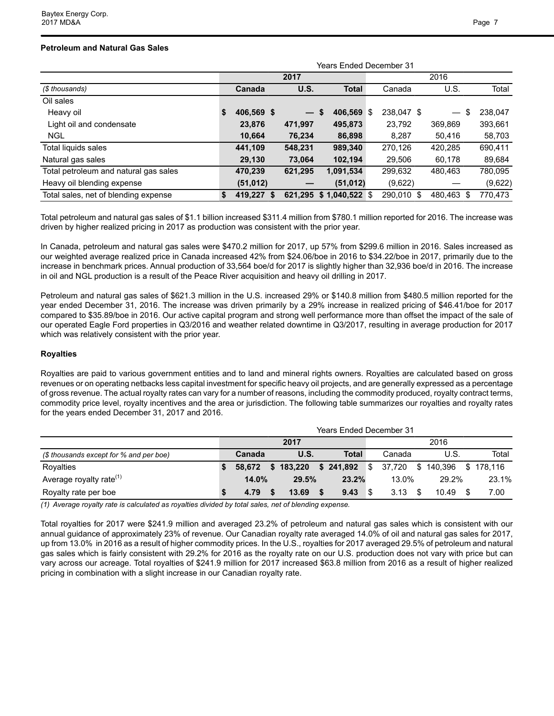## **Petroleum and Natural Gas Sales**

|                                       | Years Ended December 31 |            |                 |    |                 |  |            |            |         |  |  |
|---------------------------------------|-------------------------|------------|-----------------|----|-----------------|--|------------|------------|---------|--|--|
|                                       |                         |            | 2017            |    |                 |  |            |            |         |  |  |
| (\$ thousands)                        |                         | Canada     | U.S.            |    | <b>Total</b>    |  | Canada     | U.S.       | Total   |  |  |
| Oil sales                             |                         |            |                 |    |                 |  |            |            |         |  |  |
| Heavy oil                             | S                       | 406,569 \$ | $\qquad \qquad$ | \$ | 406,569 \$      |  | 238.047 \$ | \$         | 238,047 |  |  |
| Light oil and condensate              |                         | 23,876     | 471,997         |    | 495,873         |  | 23,792     | 369.869    | 393,661 |  |  |
| <b>NGL</b>                            |                         | 10,664     | 76.234          |    | 86,898          |  | 8.287      | 50.416     | 58,703  |  |  |
| Total liquids sales                   |                         | 441,109    | 548,231         |    | 989,340         |  | 270,126    | 420,285    | 690,411 |  |  |
| Natural gas sales                     |                         | 29,130     | 73,064          |    | 102,194         |  | 29,506     | 60,178     | 89,684  |  |  |
| Total petroleum and natural gas sales |                         | 470.239    | 621,295         |    | 1,091,534       |  | 299.632    | 480.463    | 780,095 |  |  |
| Heavy oil blending expense            |                         | (51, 012)  |                 |    | (51, 012)       |  | (9,622)    |            | (9,622) |  |  |
| Total sales, net of blending expense  | \$                      | 419.227 \$ | 621.295         |    | $$1.040.522$ \$ |  | 290.010 \$ | 480.463 \$ | 770.473 |  |  |

Total petroleum and natural gas sales of \$1.1 billion increased \$311.4 million from \$780.1 million reported for 2016. The increase was driven by higher realized pricing in 2017 as production was consistent with the prior year.

In Canada, petroleum and natural gas sales were \$470.2 million for 2017, up 57% from \$299.6 million in 2016. Sales increased as our weighted average realized price in Canada increased 42% from \$24.06/boe in 2016 to \$34.22/boe in 2017, primarily due to the increase in benchmark prices. Annual production of 33,564 boe/d for 2017 is slightly higher than 32,936 boe/d in 2016. The increase in oil and NGL production is a result of the Peace River acquisition and heavy oil drilling in 2017.

Petroleum and natural gas sales of \$621.3 million in the U.S. increased 29% or \$140.8 million from \$480.5 million reported for the year ended December 31, 2016. The increase was driven primarily by a 29% increase in realized pricing of \$46.41/boe for 2017 compared to \$35.89/boe in 2016. Our active capital program and strong well performance more than offset the impact of the sale of our operated Eagle Ford properties in Q3/2016 and weather related downtime in Q3/2017, resulting in average production for 2017 which was relatively consistent with the prior year.

## **Royalties**

Royalties are paid to various government entities and to land and mineral rights owners. Royalties are calculated based on gross revenues or on operating netbacks less capital investment for specific heavy oil projects, and are generally expressed as a percentage of gross revenue. The actual royalty rates can vary for a number of reasons, including the commodity produced, royalty contract terms, commodity price level, royalty incentives and the area or jurisdiction. The following table summarizes our royalties and royalty rates for the years ended December 31, 2017 and 2016.

|                                         | <b>Years Ended December 31</b> |        |      |           |      |               |     |          |  |                   |  |           |
|-----------------------------------------|--------------------------------|--------|------|-----------|------|---------------|-----|----------|--|-------------------|--|-----------|
|                                         |                                |        | 2017 |           | 2016 |               |     |          |  |                   |  |           |
| (\$ thousands except for % and per boe) |                                | Canada |      | U.S.      |      | Total         |     | Canada   |  | U.S.              |  | Total     |
| Rovalties                               |                                | 58.672 |      | \$183,220 |      | $$241,892$ \$ |     |          |  | 37,720 \$ 140,396 |  | \$178.116 |
| Average royalty rate <sup>(1)</sup>     |                                | 14.0%  |      | 29.5%     |      | 23.2%         |     | $13.0\%$ |  | 29.2%             |  | 23.1%     |
| Royalty rate per boe                    |                                | 4.79   |      | 13.69     |      | 9.43          | ∣\$ | 3.13     |  | 10.49             |  | 7.00      |

*(1) Average royalty rate is calculated as royalties divided by total sales, net of blending expense.* 

Total royalties for 2017 were \$241.9 million and averaged 23.2% of petroleum and natural gas sales which is consistent with our annual guidance of approximately 23% of revenue. Our Canadian royalty rate averaged 14.0% of oil and natural gas sales for 2017, up from 13.0% in 2016 as a result of higher commodity prices. In the U.S., royalties for 2017 averaged 29.5% of petroleum and natural gas sales which is fairly consistent with 29.2% for 2016 as the royalty rate on our U.S. production does not vary with price but can vary across our acreage. Total royalties of \$241.9 million for 2017 increased \$63.8 million from 2016 as a result of higher realized pricing in combination with a slight increase in our Canadian royalty rate.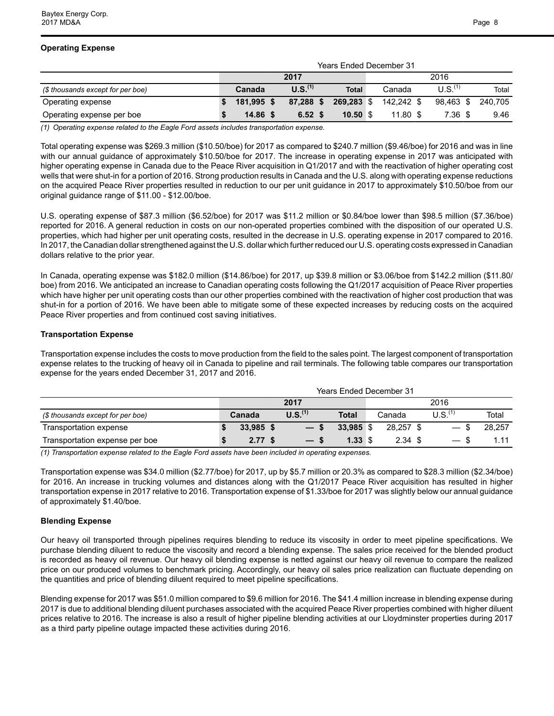|                                   | <b>Years Ended December 31</b> |            |      |                     |  |              |  |            |  |                     |         |
|-----------------------------------|--------------------------------|------------|------|---------------------|--|--------------|--|------------|--|---------------------|---------|
|                                   |                                |            | 2017 |                     |  | 2016         |  |            |  |                     |         |
| (\$ thousands except for per boe) |                                | Canada     |      | U.S. <sup>(1)</sup> |  | <b>Total</b> |  | Canada     |  | U.S. <sup>(1)</sup> | Total   |
| Operating expense                 |                                | 181.995 \$ |      | 87.288 \$           |  | 269.283 \$   |  | 142.242 \$ |  | 98.463 \$           | 240.705 |
| Operating expense per boe         |                                | $14.86$ \$ |      | 6.52 <sup>5</sup>   |  | 10.50 S      |  | $11.80$ \$ |  | 7.36 \$             | 9.46    |

*(1) Operating expense related to the Eagle Ford assets includes transportation expense.* 

Total operating expense was \$269.3 million (\$10.50/boe) for 2017 as compared to \$240.7 million (\$9.46/boe) for 2016 and was in line with our annual guidance of approximately \$10.50/boe for 2017. The increase in operating expense in 2017 was anticipated with higher operating expense in Canada due to the Peace River acquisition in Q1/2017 and with the reactivation of higher operating cost wells that were shut-in for a portion of 2016. Strong production results in Canada and the U.S. along with operating expense reductions on the acquired Peace River properties resulted in reduction to our per unit guidance in 2017 to approximately \$10.50/boe from our original guidance range of \$11.00 - \$12.00/boe.

U.S. operating expense of \$87.3 million (\$6.52/boe) for 2017 was \$11.2 million or \$0.84/boe lower than \$98.5 million (\$7.36/boe) reported for 2016. A general reduction in costs on our non-operated properties combined with the disposition of our operated U.S. properties, which had higher per unit operating costs, resulted in the decrease in U.S. operating expense in 2017 compared to 2016. In 2017, the Canadian dollar strengthened against the U.S. dollar which further reduced our U.S. operating costs expressed in Canadian dollars relative to the prior year.

In Canada, operating expense was \$182.0 million (\$14.86/boe) for 2017, up \$39.8 million or \$3.06/boe from \$142.2 million (\$11.80/ boe) from 2016. We anticipated an increase to Canadian operating costs following the Q1/2017 acquisition of Peace River properties which have higher per unit operating costs than our other properties combined with the reactivation of higher cost production that was shut-in for a portion of 2016. We have been able to mitigate some of these expected increases by reducing costs on the acquired Peace River properties and from continued cost saving initiatives.

## **Transportation Expense**

Transportation expense includes the costs to move production from the field to the sales point. The largest component of transportation expense relates to the trucking of heavy oil in Canada to pipeline and rail terminals. The following table compares our transportation expense for the years ended December 31, 2017 and 2016.

|                                   | <b>Years Ended December 31</b> |           |  |                     |                    |      |                    |  |                                  |        |  |  |
|-----------------------------------|--------------------------------|-----------|--|---------------------|--------------------|------|--------------------|--|----------------------------------|--------|--|--|
|                                   |                                |           |  | 2017                |                    | 2016 |                    |  |                                  |        |  |  |
| (\$ thousands except for per boe) |                                | Canada    |  | U.S. <sup>(1)</sup> | <b>Total</b>       |      | Canada             |  | U.S. <sup>(1)</sup>              | Total  |  |  |
| Transportation expense            |                                | 33,985 \$ |  | $-s$                | 33.985 \$          |      | 28.257 \$          |  |                                  | 28.257 |  |  |
| Transportation expense per boe    |                                | 2.77S     |  | $-s$                | $1.33 \text{ } $s$ |      | $2.34 \text{ } $s$ |  | - SS<br>$\overline{\phantom{0}}$ | 1.11   |  |  |

*(1) Transportation expense related to the Eagle Ford assets have been included in operating expenses.* 

Transportation expense was \$34.0 million (\$2.77/boe) for 2017, up by \$5.7 million or 20.3% as compared to \$28.3 million (\$2.34/boe) for 2016. An increase in trucking volumes and distances along with the Q1/2017 Peace River acquisition has resulted in higher transportation expense in 2017 relative to 2016. Transportation expense of \$1.33/boe for 2017 was slightly below our annual guidance of approximately \$1.40/boe.

## **Blending Expense**

Our heavy oil transported through pipelines requires blending to reduce its viscosity in order to meet pipeline specifications. We purchase blending diluent to reduce the viscosity and record a blending expense. The sales price received for the blended product is recorded as heavy oil revenue. Our heavy oil blending expense is netted against our heavy oil revenue to compare the realized price on our produced volumes to benchmark pricing. Accordingly, our heavy oil sales price realization can fluctuate depending on the quantities and price of blending diluent required to meet pipeline specifications.

Blending expense for 2017 was \$51.0 million compared to \$9.6 million for 2016. The \$41.4 million increase in blending expense during 2017 is due to additional blending diluent purchases associated with the acquired Peace River properties combined with higher diluent prices relative to 2016. The increase is also a result of higher pipeline blending activities at our Lloydminster properties during 2017 as a third party pipeline outage impacted these activities during 2016.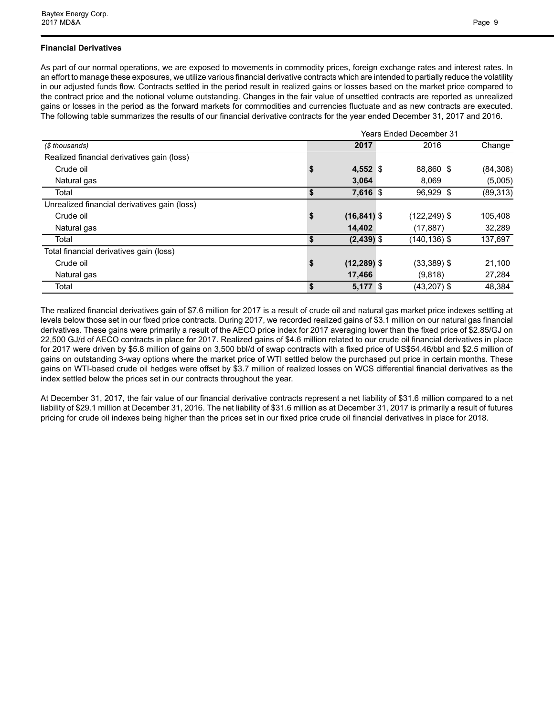## **Financial Derivatives**

As part of our normal operations, we are exposed to movements in commodity prices, foreign exchange rates and interest rates. In an effort to manage these exposures, we utilize various financial derivative contracts which are intended to partially reduce the volatility in our adjusted funds flow. Contracts settled in the period result in realized gains or losses based on the market price compared to the contract price and the notional volume outstanding. Changes in the fair value of unsettled contracts are reported as unrealized gains or losses in the period as the forward markets for commodities and currencies fluctuate and as new contracts are executed. The following table summarizes the results of our financial derivative contracts for the year ended December 31, 2017 and 2016.

|                                              | <b>Years Ended December 31</b> |                |  |                 |           |  |  |  |  |  |  |  |
|----------------------------------------------|--------------------------------|----------------|--|-----------------|-----------|--|--|--|--|--|--|--|
| (\$ thousands)                               |                                | 2017           |  | 2016            | Change    |  |  |  |  |  |  |  |
| Realized financial derivatives gain (loss)   |                                |                |  |                 |           |  |  |  |  |  |  |  |
| Crude oil                                    | \$                             | 4,552 \$       |  | 88,860 \$       | (84, 308) |  |  |  |  |  |  |  |
| Natural gas                                  |                                | 3,064          |  | 8.069           | (5,005)   |  |  |  |  |  |  |  |
| Total                                        | \$                             | 7,616 \$       |  | 96,929 \$       | (89, 313) |  |  |  |  |  |  |  |
| Unrealized financial derivatives gain (loss) |                                |                |  |                 |           |  |  |  |  |  |  |  |
| Crude oil                                    | \$                             | $(16, 841)$ \$ |  | $(122, 249)$ \$ | 105,408   |  |  |  |  |  |  |  |
| Natural gas                                  |                                | 14,402         |  | (17, 887)       | 32,289    |  |  |  |  |  |  |  |
| Total                                        | S                              | $(2,439)$ \$   |  | $(140, 136)$ \$ | 137,697   |  |  |  |  |  |  |  |
| Total financial derivatives gain (loss)      |                                |                |  |                 |           |  |  |  |  |  |  |  |
| Crude oil                                    | \$                             | $(12, 289)$ \$ |  | $(33,389)$ \$   | 21,100    |  |  |  |  |  |  |  |
| Natural gas                                  |                                | 17,466         |  | (9,818)         | 27,284    |  |  |  |  |  |  |  |
| Total                                        | \$                             | $5,177$ \$     |  | $(43,207)$ \$   | 48.384    |  |  |  |  |  |  |  |

The realized financial derivatives gain of \$7.6 million for 2017 is a result of crude oil and natural gas market price indexes settling at levels below those set in our fixed price contracts. During 2017, we recorded realized gains of \$3.1 million on our natural gas financial derivatives. These gains were primarily a result of the AECO price index for 2017 averaging lower than the fixed price of \$2.85/GJ on 22,500 GJ/d of AECO contracts in place for 2017. Realized gains of \$4.6 million related to our crude oil financial derivatives in place for 2017 were driven by \$5.8 million of gains on 3,500 bbl/d of swap contracts with a fixed price of US\$54.46/bbl and \$2.5 million of gains on outstanding 3-way options where the market price of WTI settled below the purchased put price in certain months. These gains on WTI-based crude oil hedges were offset by \$3.7 million of realized losses on WCS differential financial derivatives as the index settled below the prices set in our contracts throughout the year.

At December 31, 2017, the fair value of our financial derivative contracts represent a net liability of \$31.6 million compared to a net liability of \$29.1 million at December 31, 2016. The net liability of \$31.6 million as at December 31, 2017 is primarily a result of futures pricing for crude oil indexes being higher than the prices set in our fixed price crude oil financial derivatives in place for 2018.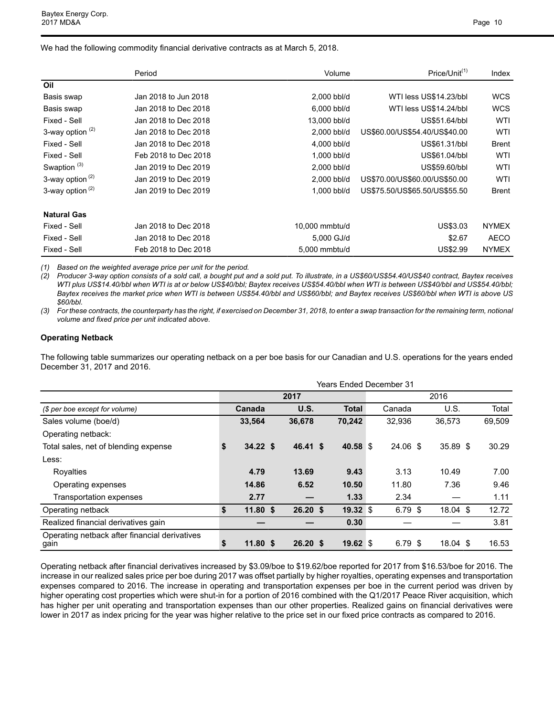We had the following commodity financial derivative contracts as at March 5, 2018.

|                             | Period               | Volume         | Price/Unit <sup>(1)</sup>     | Index        |
|-----------------------------|----------------------|----------------|-------------------------------|--------------|
| Oil                         |                      |                |                               |              |
| Basis swap                  | Jan 2018 to Jun 2018 | 2,000 bbl/d    | WTI less US\$14.23/bbl        | <b>WCS</b>   |
| Basis swap                  | Jan 2018 to Dec 2018 | 6,000 bbl/d    | WTI less US\$14.24/bbl        | <b>WCS</b>   |
| Fixed - Sell                | Jan 2018 to Dec 2018 | 13,000 bbl/d   | US\$51.64/bbl                 | WTI          |
| 3-way option $(2)$          | Jan 2018 to Dec 2018 | 2,000 bbl/d    | US\$60.00/US\$54.40/US\$40.00 | WTI          |
| Fixed - Sell                | Jan 2018 to Dec 2018 | 4,000 bbl/d    | US\$61.31/bbl                 | <b>Brent</b> |
| Fixed - Sell                | Feb 2018 to Dec 2018 | 1,000 bbl/d    | US\$61.04/bbl                 | WTI          |
| Swaption <sup>(3)</sup>     | Jan 2019 to Dec 2019 | 2,000 bbl/d    | US\$59.60/bbl                 | WTI          |
| 3-way option $(2)$          | Jan 2019 to Dec 2019 | 2,000 bbl/d    | US\$70.00/US\$60.00/US\$50.00 | WTI          |
| 3-way option <sup>(2)</sup> | Jan 2019 to Dec 2019 | 1,000 bbl/d    | US\$75.50/US\$65.50/US\$55.50 | <b>Brent</b> |
| <b>Natural Gas</b>          |                      |                |                               |              |
| Fixed - Sell                | Jan 2018 to Dec 2018 | 10,000 mmbtu/d | US\$3.03                      | <b>NYMEX</b> |
| Fixed - Sell                | Jan 2018 to Dec 2018 | 5,000 GJ/d     | \$2.67                        | <b>AECO</b>  |
| Fixed - Sell                | Feb 2018 to Dec 2018 | 5,000 mmbtu/d  | US\$2.99                      | <b>NYMEX</b> |

*(1) Based on the weighted average price per unit for the period.* 

*(2) Producer 3-way option consists of a sold call, a bought put and a sold put. To illustrate, in a US\$60/US\$54.40/US\$40 contract, Baytex receives WTI plus US\$14.40/bbl when WTI is at or below US\$40/bbl; Baytex receives US\$54.40/bbl when WTI is between US\$40/bbl and US\$54.40/bbl; Baytex receives the market price when WTI is between US\$54.40/bbl and US\$60/bbl; and Baytex receives US\$60/bbl when WTI is above US \$60/bbl.*

*(3) For these contracts, the counterparty has the right, if exercised on December 31, 2018, to enter a swap transaction for the remaining term, notional volume and fixed price per unit indicated above.*

#### **Operating Netback**

The following table summarizes our operating netback on a per boe basis for our Canadian and U.S. operations for the years ended December 31, 2017 and 2016.

|                                                       | Years Ended December 31 |            |  |                    |  |              |      |           |  |            |  |        |  |  |
|-------------------------------------------------------|-------------------------|------------|--|--------------------|--|--------------|------|-----------|--|------------|--|--------|--|--|
|                                                       |                         |            |  | 2017               |  |              | 2016 |           |  |            |  |        |  |  |
| (\$ per boe except for volume)                        |                         | Canada     |  | U.S.               |  | <b>Total</b> |      | Canada    |  | U.S.       |  | Total  |  |  |
| Sales volume (boe/d)                                  |                         | 33,564     |  | 36,678             |  | 70,242       |      | 32,936    |  | 36,573     |  | 69,509 |  |  |
| Operating netback:                                    |                         |            |  |                    |  |              |      |           |  |            |  |        |  |  |
| Total sales, net of blending expense                  | \$                      | 34.22 S    |  | 46.41 \$           |  | 40.58 \$     |      | 24.06 \$  |  | 35.89 \$   |  | 30.29  |  |  |
| Less:                                                 |                         |            |  |                    |  |              |      |           |  |            |  |        |  |  |
| Royalties                                             |                         | 4.79       |  | 13.69              |  | 9.43         |      | 3.13      |  | 10.49      |  | 7.00   |  |  |
| Operating expenses                                    |                         | 14.86      |  | 6.52               |  | 10.50        |      | 11.80     |  | 7.36       |  | 9.46   |  |  |
| Transportation expenses                               |                         | 2.77       |  |                    |  | 1.33         |      | 2.34      |  |            |  | 1.11   |  |  |
| Operating netback                                     | \$                      | $11.80$ \$ |  | $26.20$ \$         |  | 19.32 \$     |      | $6.79$ \$ |  | $18.04$ \$ |  | 12.72  |  |  |
| Realized financial derivatives gain                   |                         |            |  |                    |  | 0.30         |      |           |  |            |  | 3.81   |  |  |
| Operating netback after financial derivatives<br>gain | \$                      | $11.80$ \$ |  | 26.20 <sup>5</sup> |  | 19.62 \$     |      | 6.79 \$   |  | $18.04$ \$ |  | 16.53  |  |  |

Operating netback after financial derivatives increased by \$3.09/boe to \$19.62/boe reported for 2017 from \$16.53/boe for 2016. The increase in our realized sales price per boe during 2017 was offset partially by higher royalties, operating expenses and transportation expenses compared to 2016. The increase in operating and transportation expenses per boe in the current period was driven by higher operating cost properties which were shut-in for a portion of 2016 combined with the Q1/2017 Peace River acquisition, which has higher per unit operating and transportation expenses than our other properties. Realized gains on financial derivatives were lower in 2017 as index pricing for the year was higher relative to the price set in our fixed price contracts as compared to 2016.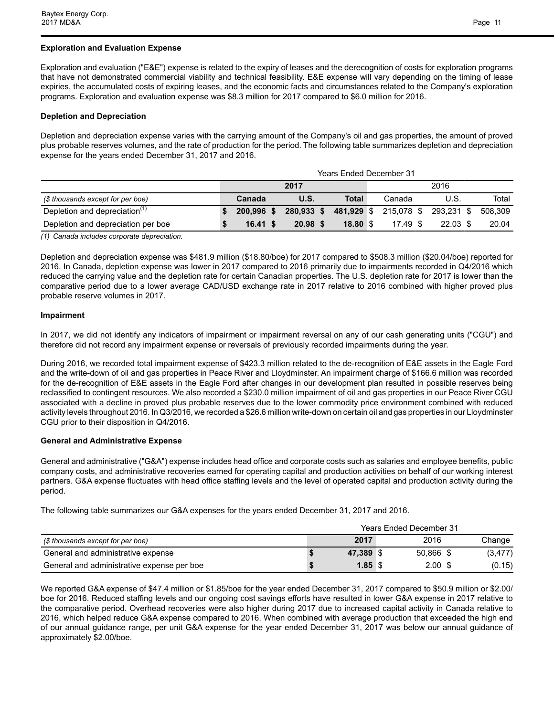## **Exploration and Evaluation Expense**

Exploration and evaluation ("E&E") expense is related to the expiry of leases and the derecognition of costs for exploration programs that have not demonstrated commercial viability and technical feasibility. E&E expense will vary depending on the timing of lease expiries, the accumulated costs of expiring leases, and the economic facts and circumstances related to the Company's exploration programs. Exploration and evaluation expense was \$8.3 million for 2017 compared to \$6.0 million for 2016.

## **Depletion and Depreciation**

Depletion and depreciation expense varies with the carrying amount of the Company's oil and gas properties, the amount of proved plus probable reserves volumes, and the rate of production for the period. The following table summarizes depletion and depreciation expense for the years ended December 31, 2017 and 2016.

|                                           | <b>Years Ended December 31</b> |            |  |            |  |            |  |            |  |            |  |         |
|-------------------------------------------|--------------------------------|------------|--|------------|--|------------|--|------------|--|------------|--|---------|
|                                           | 2017<br>2016                   |            |  |            |  |            |  |            |  |            |  |         |
| (\$ thousands except for per boe)         |                                | Canada     |  | U.S.       |  | Total      |  | Canada     |  | U.S.       |  | Total   |
| Depletion and depreciation <sup>(1)</sup> |                                | 200.996 \$ |  | 280,933 \$ |  | 481,929 \$ |  | 215.078 \$ |  | 293.231 \$ |  | 508.309 |
| Depletion and depreciation per boe        |                                | 16.41 S    |  | 20.98 S    |  | 18.80 S    |  | $17.49$ \$ |  | $22.03$ \$ |  | 20.04   |

*(1) Canada includes corporate depreciation.*

Depletion and depreciation expense was \$481.9 million (\$18.80/boe) for 2017 compared to \$508.3 million (\$20.04/boe) reported for 2016. In Canada, depletion expense was lower in 2017 compared to 2016 primarily due to impairments recorded in Q4/2016 which reduced the carrying value and the depletion rate for certain Canadian properties. The U.S. depletion rate for 2017 is lower than the comparative period due to a lower average CAD/USD exchange rate in 2017 relative to 2016 combined with higher proved plus probable reserve volumes in 2017.

## **Impairment**

In 2017, we did not identify any indicators of impairment or impairment reversal on any of our cash generating units ("CGU") and therefore did not record any impairment expense or reversals of previously recorded impairments during the year.

During 2016, we recorded total impairment expense of \$423.3 million related to the de-recognition of E&E assets in the Eagle Ford and the write-down of oil and gas properties in Peace River and Lloydminster. An impairment charge of \$166.6 million was recorded for the de-recognition of E&E assets in the Eagle Ford after changes in our development plan resulted in possible reserves being reclassified to contingent resources. We also recorded a \$230.0 million impairment of oil and gas properties in our Peace River CGU associated with a decline in proved plus probable reserves due to the lower commodity price environment combined with reduced activity levels throughout 2016. In Q3/2016, we recorded a \$26.6 million write-down on certain oil and gas properties in our Lloydminster CGU prior to their disposition in Q4/2016.

## **General and Administrative Expense**

General and administrative ("G&A") expense includes head office and corporate costs such as salaries and employee benefits, public company costs, and administrative recoveries earned for operating capital and production activities on behalf of our working interest partners. G&A expense fluctuates with head office staffing levels and the level of operated capital and production activity during the period.

The following table summarizes our G&A expenses for the years ended December 31, 2017 and 2016.

|                                            | <b>Years Ended December 31</b> |           |  |                   |  |          |  |  |  |  |
|--------------------------------------------|--------------------------------|-----------|--|-------------------|--|----------|--|--|--|--|
| (\$ thousands except for per boe)          |                                | 2017      |  | 2016              |  | Change   |  |  |  |  |
| General and administrative expense         |                                | 47.389 \$ |  | 50.866 \$         |  | (3, 477) |  |  |  |  |
| General and administrative expense per boe |                                | $1.85$ \$ |  | 2.00 <sub>1</sub> |  | (0.15)   |  |  |  |  |

We reported G&A expense of \$47.4 million or \$1.85/boe for the year ended December 31, 2017 compared to \$50.9 million or \$2.00/ boe for 2016. Reduced staffing levels and our ongoing cost savings efforts have resulted in lower G&A expense in 2017 relative to the comparative period. Overhead recoveries were also higher during 2017 due to increased capital activity in Canada relative to 2016, which helped reduce G&A expense compared to 2016. When combined with average production that exceeded the high end of our annual guidance range, per unit G&A expense for the year ended December 31, 2017 was below our annual guidance of approximately \$2.00/boe.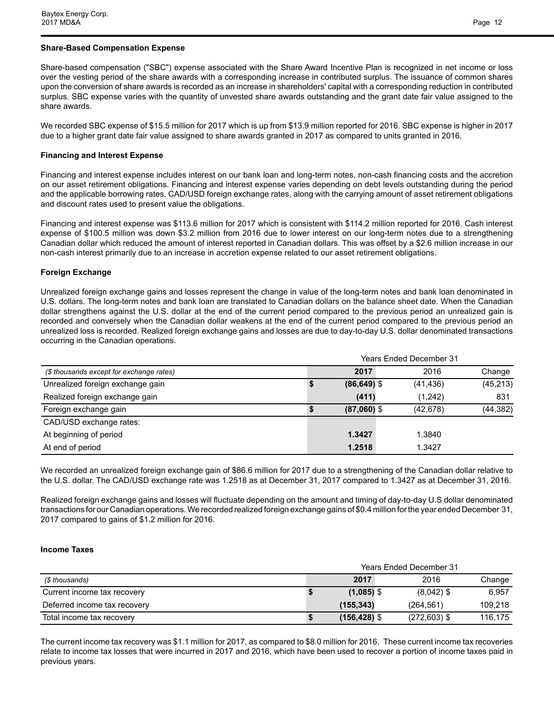## **Share-Based Compensation Expense**

Share-based compensation ("SBC") expense associated with the Share Award Incentive Plan is recognized in net income or loss over the vesting period of the share awards with a corresponding increase in contributed surplus. The issuance of common shares upon the conversion of share awards is recorded as an increase in shareholders' capital with a corresponding reduction in contributed surplus. SBC expense varies with the quantity of unvested share awards outstanding and the grant date fair value assigned to the share awards.

We recorded SBC expense of \$15.5 million for 2017 which is up from \$13.9 million reported for 2016. SBC expense is higher in 2017 due to a higher grant date fair value assigned to share awards granted in 2017 as compared to units granted in 2016.

## **Financing and Interest Expense**

Financing and interest expense includes interest on our bank loan and long-term notes, non-cash financing costs and the accretion on our asset retirement obligations. Financing and interest expense varies depending on debt levels outstanding during the period and the applicable borrowing rates, CAD/USD foreign exchange rates, along with the carrying amount of asset retirement obligations and discount rates used to present value the obligations.

Financing and interest expense was \$113.6 million for 2017 which is consistent with \$114.2 million reported for 2016. Cash interest expense of \$100.5 million was down \$3.2 million from 2016 due to lower interest on our long-term notes due to a strengthening Canadian dollar which reduced the amount of interest reported in Canadian dollars. This was offset by a \$2.6 million increase in our non-cash interest primarily due to an increase in accretion expense related to our asset retirement obligations.

## **Foreign Exchange**

Unrealized foreign exchange gains and losses represent the change in value of the long-term notes and bank loan denominated in U.S. dollars. The long-term notes and bank loan are translated to Canadian dollars on the balance sheet date. When the Canadian dollar strengthens against the U.S. dollar at the end of the current period compared to the previous period an unrealized gain is recorded and conversely when the Canadian dollar weakens at the end of the current period compared to the previous period an unrealized loss is recorded. Realized foreign exchange gains and losses are due to day-to-day U.S. dollar denominated transactions occurring in the Canadian operations.

|                                          | <b>Years Ended December 31</b> |                |           |           |  |  |  |  |  |  |  |
|------------------------------------------|--------------------------------|----------------|-----------|-----------|--|--|--|--|--|--|--|
| (\$ thousands except for exchange rates) |                                | 2017           | 2016      | Change    |  |  |  |  |  |  |  |
| Unrealized foreign exchange gain         |                                | $(86, 649)$ \$ | (41, 436) | (45, 213) |  |  |  |  |  |  |  |
| Realized foreign exchange gain           |                                | (411)          | (1,242)   | 831       |  |  |  |  |  |  |  |
| Foreign exchange gain                    |                                | $(87,060)$ \$  | (42, 678) | (44, 382) |  |  |  |  |  |  |  |
| CAD/USD exchange rates:                  |                                |                |           |           |  |  |  |  |  |  |  |
| At beginning of period                   |                                | 1.3427         | 1.3840    |           |  |  |  |  |  |  |  |
| At end of period                         |                                | 1.2518         | 1.3427    |           |  |  |  |  |  |  |  |

We recorded an unrealized foreign exchange gain of \$86.6 million for 2017 due to a strengthening of the Canadian dollar relative to the U.S. dollar. The CAD/USD exchange rate was 1.2518 as at December 31, 2017 compared to 1.3427 as at December 31, 2016.

Realized foreign exchange gains and losses will fluctuate depending on the amount and timing of day-to-day U.S dollar denominated transactions for our Canadian operations. We recorded realized foreign exchange gains of \$0.4 million for the year ended December 31, 2017 compared to gains of \$1.2 million for 2016.

## **Income Taxes**

|                              | <b>Years Ended December 31</b> |                 |                |         |  |  |  |  |
|------------------------------|--------------------------------|-----------------|----------------|---------|--|--|--|--|
| (\$ thousands)               |                                | 2017            | 2016           | Change  |  |  |  |  |
| Current income tax recovery  |                                | $(1,085)$ \$    | $(8.042)$ \$   | 6,957   |  |  |  |  |
| Deferred income tax recovery |                                | (155, 343)      | (264.561)      | 109,218 |  |  |  |  |
| Total income tax recovery    |                                | $(156, 428)$ \$ | $(272,603)$ \$ | 116.175 |  |  |  |  |

The current income tax recovery was \$1.1 million for 2017, as compared to \$8.0 million for 2016. These current income tax recoveries relate to income tax losses that were incurred in 2017 and 2016, which have been used to recover a portion of income taxes paid in previous years.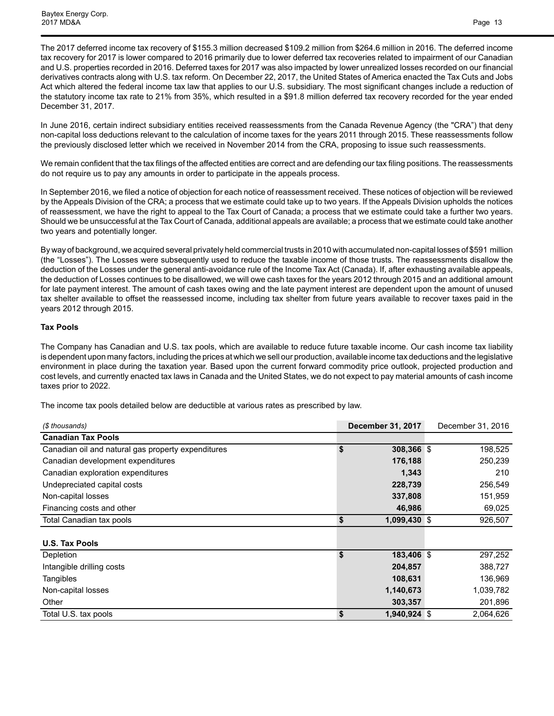The 2017 deferred income tax recovery of \$155.3 million decreased \$109.2 million from \$264.6 million in 2016. The deferred income tax recovery for 2017 is lower compared to 2016 primarily due to lower deferred tax recoveries related to impairment of our Canadian and U.S. properties recorded in 2016. Deferred taxes for 2017 was also impacted by lower unrealized losses recorded on our financial derivatives contracts along with U.S. tax reform. On December 22, 2017, the United States of America enacted the Tax Cuts and Jobs Act which altered the federal income tax law that applies to our U.S. subsidiary. The most significant changes include a reduction of the statutory income tax rate to 21% from 35%, which resulted in a \$91.8 million deferred tax recovery recorded for the year ended December 31, 2017.

In June 2016, certain indirect subsidiary entities received reassessments from the Canada Revenue Agency (the "CRA") that deny non-capital loss deductions relevant to the calculation of income taxes for the years 2011 through 2015. These reassessments follow the previously disclosed letter which we received in November 2014 from the CRA, proposing to issue such reassessments.

We remain confident that the tax filings of the affected entities are correct and are defending our tax filing positions. The reassessments do not require us to pay any amounts in order to participate in the appeals process.

In September 2016, we filed a notice of objection for each notice of reassessment received. These notices of objection will be reviewed by the Appeals Division of the CRA; a process that we estimate could take up to two years. If the Appeals Division upholds the notices of reassessment, we have the right to appeal to the Tax Court of Canada; a process that we estimate could take a further two years. Should we be unsuccessful at the Tax Court of Canada, additional appeals are available; a process that we estimate could take another two years and potentially longer.

By way of background, we acquired several privately held commercial trusts in 2010 with accumulated non-capital losses of \$591 million (the "Losses"). The Losses were subsequently used to reduce the taxable income of those trusts. The reassessments disallow the deduction of the Losses under the general anti-avoidance rule of the Income Tax Act (Canada). If, after exhausting available appeals, the deduction of Losses continues to be disallowed, we will owe cash taxes for the years 2012 through 2015 and an additional amount for late payment interest. The amount of cash taxes owing and the late payment interest are dependent upon the amount of unused tax shelter available to offset the reassessed income, including tax shelter from future years available to recover taxes paid in the years 2012 through 2015.

## **Tax Pools**

The Company has Canadian and U.S. tax pools, which are available to reduce future taxable income. Our cash income tax liability is dependent upon many factors, including the prices at which we sell our production, available income tax deductions and the legislative environment in place during the taxation year. Based upon the current forward commodity price outlook, projected production and cost levels, and currently enacted tax laws in Canada and the United States, we do not expect to pay material amounts of cash income taxes prior to 2022.

The income tax pools detailed below are deductible at various rates as prescribed by law.

| (\$ thousands)                                     | <b>December 31, 2017</b> | December 31, 2016 |
|----------------------------------------------------|--------------------------|-------------------|
| <b>Canadian Tax Pools</b>                          |                          |                   |
| Canadian oil and natural gas property expenditures | \$<br>308,366 \$         | 198,525           |
| Canadian development expenditures                  | 176,188                  | 250,239           |
| Canadian exploration expenditures                  | 1,343                    | 210               |
| Undepreciated capital costs                        | 228,739                  | 256,549           |
| Non-capital losses                                 | 337,808                  | 151,959           |
| Financing costs and other                          | 46,986                   | 69,025            |
| Total Canadian tax pools                           | \$<br>1,099,430 \$       | 926,507           |
|                                                    |                          |                   |
| <b>U.S. Tax Pools</b>                              |                          |                   |
| Depletion                                          | \$<br>183,406 \$         | 297,252           |
| Intangible drilling costs                          | 204,857                  | 388,727           |
| Tangibles                                          | 108,631                  | 136,969           |
| Non-capital losses                                 | 1,140,673                | 1,039,782         |
| Other                                              | 303,357                  | 201,896           |
| Total U.S. tax pools                               | \$<br>1,940,924 \$       | 2,064,626         |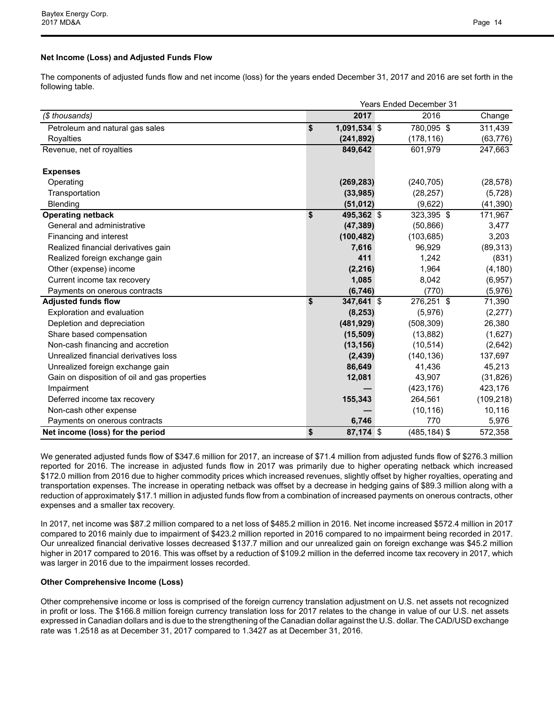## **Net Income (Loss) and Adjusted Funds Flow**

The components of adjusted funds flow and net income (loss) for the years ended December 31, 2017 and 2016 are set forth in the following table.

|                                               | <b>Years Ended December 31</b> |  |                 |            |  |  |  |  |  |  |
|-----------------------------------------------|--------------------------------|--|-----------------|------------|--|--|--|--|--|--|
| (\$ thousands)                                | 2017                           |  | 2016            | Change     |  |  |  |  |  |  |
| Petroleum and natural gas sales               | \$<br>$1,091,534$ \$           |  | 780,095 \$      | 311,439    |  |  |  |  |  |  |
| Royalties                                     | (241, 892)                     |  | (178, 116)      | (63, 776)  |  |  |  |  |  |  |
| Revenue, net of royalties                     | 849,642                        |  | 601,979         | 247,663    |  |  |  |  |  |  |
| <b>Expenses</b>                               |                                |  |                 |            |  |  |  |  |  |  |
| Operating                                     | (269, 283)                     |  | (240, 705)      | (28, 578)  |  |  |  |  |  |  |
| Transportation                                | (33,985)                       |  | (28, 257)       | (5, 728)   |  |  |  |  |  |  |
| Blending                                      | (51, 012)                      |  | (9,622)         | (41, 390)  |  |  |  |  |  |  |
| <b>Operating netback</b>                      | \$<br>495,362 \$               |  | 323,395 \$      | 171,967    |  |  |  |  |  |  |
| General and administrative                    | (47, 389)                      |  | (50, 866)       | 3,477      |  |  |  |  |  |  |
| Financing and interest                        | (100, 482)                     |  | (103, 685)      | 3,203      |  |  |  |  |  |  |
| Realized financial derivatives gain           | 7,616                          |  | 96,929          | (89, 313)  |  |  |  |  |  |  |
| Realized foreign exchange gain                | 411                            |  | 1,242           | (831)      |  |  |  |  |  |  |
| Other (expense) income                        | (2, 216)                       |  | 1,964           | (4, 180)   |  |  |  |  |  |  |
| Current income tax recovery                   | 1,085                          |  | 8,042           | (6,957)    |  |  |  |  |  |  |
| Payments on onerous contracts                 | (6, 746)                       |  | (770)           | (5,976)    |  |  |  |  |  |  |
| <b>Adjusted funds flow</b>                    | \$<br>347,641 \$               |  | 276,251 \$      | 71,390     |  |  |  |  |  |  |
| Exploration and evaluation                    | (8, 253)                       |  | (5,976)         | (2,277)    |  |  |  |  |  |  |
| Depletion and depreciation                    | (481, 929)                     |  | (508, 309)      | 26,380     |  |  |  |  |  |  |
| Share based compensation                      | (15, 509)                      |  | (13, 882)       | (1,627)    |  |  |  |  |  |  |
| Non-cash financing and accretion              | (13, 156)                      |  | (10, 514)       | (2,642)    |  |  |  |  |  |  |
| Unrealized financial derivatives loss         | (2, 439)                       |  | (140, 136)      | 137,697    |  |  |  |  |  |  |
| Unrealized foreign exchange gain              | 86,649                         |  | 41,436          | 45,213     |  |  |  |  |  |  |
| Gain on disposition of oil and gas properties | 12,081                         |  | 43,907          | (31, 826)  |  |  |  |  |  |  |
| Impairment                                    |                                |  | (423, 176)      | 423,176    |  |  |  |  |  |  |
| Deferred income tax recovery                  | 155,343                        |  | 264,561         | (109, 218) |  |  |  |  |  |  |
| Non-cash other expense                        |                                |  | (10, 116)       | 10,116     |  |  |  |  |  |  |
| Payments on onerous contracts                 | 6,746                          |  | 770             | 5,976      |  |  |  |  |  |  |
| Net income (loss) for the period              | \$<br>87,174 \$                |  | $(485, 184)$ \$ | 572,358    |  |  |  |  |  |  |

We generated adjusted funds flow of \$347.6 million for 2017, an increase of \$71.4 million from adjusted funds flow of \$276.3 million reported for 2016. The increase in adjusted funds flow in 2017 was primarily due to higher operating netback which increased \$172.0 million from 2016 due to higher commodity prices which increased revenues, slightly offset by higher royalties, operating and transportation expenses. The increase in operating netback was offset by a decrease in hedging gains of \$89.3 million along with a reduction of approximately \$17.1 million in adjusted funds flow from a combination of increased payments on onerous contracts, other expenses and a smaller tax recovery.

In 2017, net income was \$87.2 million compared to a net loss of \$485.2 million in 2016. Net income increased \$572.4 million in 2017 compared to 2016 mainly due to impairment of \$423.2 million reported in 2016 compared to no impairment being recorded in 2017. Our unrealized financial derivative losses decreased \$137.7 million and our unrealized gain on foreign exchange was \$45.2 million higher in 2017 compared to 2016. This was offset by a reduction of \$109.2 million in the deferred income tax recovery in 2017, which was larger in 2016 due to the impairment losses recorded.

## **Other Comprehensive Income (Loss)**

Other comprehensive income or loss is comprised of the foreign currency translation adjustment on U.S. net assets not recognized in profit or loss. The \$166.8 million foreign currency translation loss for 2017 relates to the change in value of our U.S. net assets expressed in Canadian dollars and is due to the strengthening of the Canadian dollar against the U.S. dollar. The CAD/USD exchange rate was 1.2518 as at December 31, 2017 compared to 1.3427 as at December 31, 2016.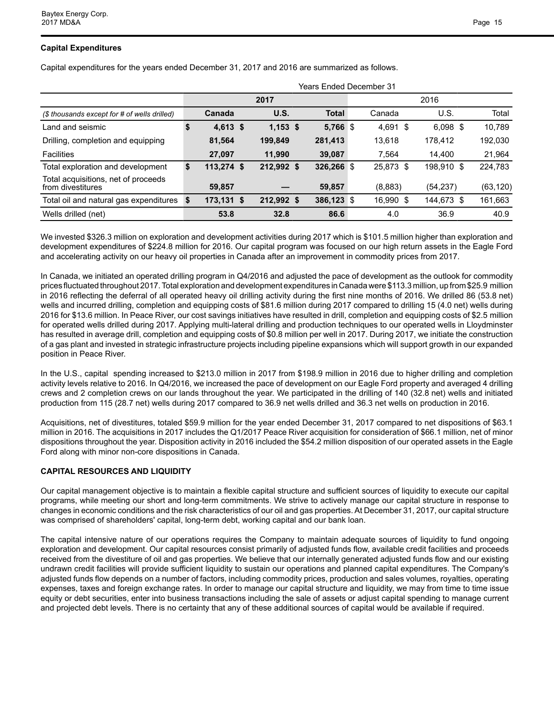## **Capital Expenditures**

Capital expenditures for the years ended December 31, 2017 and 2016 are summarized as follows.

|                                                          | Years Ended December 31 |  |            |  |              |  |            |  |            |           |  |
|----------------------------------------------------------|-------------------------|--|------------|--|--------------|--|------------|--|------------|-----------|--|
|                                                          |                         |  | 2017       |  |              |  |            |  | 2016       |           |  |
| (\$ thousands except for # of wells drilled)             | Canada                  |  | U.S.       |  | <b>Total</b> |  | Canada     |  | U.S.       | Total     |  |
| Land and seismic                                         | $4,613$ \$              |  | $1,153$ \$ |  | 5,766 \$     |  | $4,691$ \$ |  | $6,098$ \$ | 10,789    |  |
| Drilling, completion and equipping                       | 81,564                  |  | 199,849    |  | 281,413      |  | 13,618     |  | 178.412    | 192,030   |  |
| <b>Facilities</b>                                        | 27.097                  |  | 11.990     |  | 39,087       |  | 7.564      |  | 14.400     | 21,964    |  |
| Total exploration and development                        | \$<br>$113,274$ \$      |  | 212,992 \$ |  | $326,266$ \$ |  | 25,873 \$  |  | 198,910 \$ | 224,783   |  |
| Total acquisitions, net of proceeds<br>from divestitures | 59,857                  |  |            |  | 59,857       |  | (8,883)    |  | (54, 237)  | (63, 120) |  |
| Total oil and natural gas expenditures                   | \$<br>$173,131$ \$      |  | 212,992 \$ |  | 386,123 \$   |  | 16,990 \$  |  | 144,673 \$ | 161,663   |  |
| Wells drilled (net)                                      | 53.8                    |  | 32.8       |  | 86.6         |  | 4.0        |  | 36.9       | 40.9      |  |

We invested \$326.3 million on exploration and development activities during 2017 which is \$101.5 million higher than exploration and development expenditures of \$224.8 million for 2016. Our capital program was focused on our high return assets in the Eagle Ford and accelerating activity on our heavy oil properties in Canada after an improvement in commodity prices from 2017.

In Canada, we initiated an operated drilling program in Q4/2016 and adjusted the pace of development as the outlook for commodity prices fluctuated throughout 2017. Total exploration and development expenditures in Canada were \$113.3 million, up from \$25.9 million in 2016 reflecting the deferral of all operated heavy oil drilling activity during the first nine months of 2016. We drilled 86 (53.8 net) wells and incurred drilling, completion and equipping costs of \$81.6 million during 2017 compared to drilling 15 (4.0 net) wells during 2016 for \$13.6 million. In Peace River, our cost savings initiatives have resulted in drill, completion and equipping costs of \$2.5 million for operated wells drilled during 2017. Applying multi-lateral drilling and production techniques to our operated wells in Lloydminster has resulted in average drill, completion and equipping costs of \$0.8 million per well in 2017. During 2017, we initiate the construction of a gas plant and invested in strategic infrastructure projects including pipeline expansions which will support growth in our expanded position in Peace River.

In the U.S., capital spending increased to \$213.0 million in 2017 from \$198.9 million in 2016 due to higher drilling and completion activity levels relative to 2016. In Q4/2016, we increased the pace of development on our Eagle Ford property and averaged 4 drilling crews and 2 completion crews on our lands throughout the year. We participated in the drilling of 140 (32.8 net) wells and initiated production from 115 (28.7 net) wells during 2017 compared to 36.9 net wells drilled and 36.3 net wells on production in 2016.

Acquisitions, net of divestitures, totaled \$59.9 million for the year ended December 31, 2017 compared to net dispositions of \$63.1 million in 2016. The acquisitions in 2017 includes the Q1/2017 Peace River acquisition for consideration of \$66.1 million, net of minor dispositions throughout the year. Disposition activity in 2016 included the \$54.2 million disposition of our operated assets in the Eagle Ford along with minor non-core dispositions in Canada.

## **CAPITAL RESOURCES AND LIQUIDITY**

Our capital management objective is to maintain a flexible capital structure and sufficient sources of liquidity to execute our capital programs, while meeting our short and long-term commitments. We strive to actively manage our capital structure in response to changes in economic conditions and the risk characteristics of our oil and gas properties. At December 31, 2017, our capital structure was comprised of shareholders' capital, long-term debt, working capital and our bank loan.

The capital intensive nature of our operations requires the Company to maintain adequate sources of liquidity to fund ongoing exploration and development. Our capital resources consist primarily of adjusted funds flow, available credit facilities and proceeds received from the divestiture of oil and gas properties. We believe that our internally generated adjusted funds flow and our existing undrawn credit facilities will provide sufficient liquidity to sustain our operations and planned capital expenditures. The Company's adjusted funds flow depends on a number of factors, including commodity prices, production and sales volumes, royalties, operating expenses, taxes and foreign exchange rates. In order to manage our capital structure and liquidity, we may from time to time issue equity or debt securities, enter into business transactions including the sale of assets or adjust capital spending to manage current and projected debt levels. There is no certainty that any of these additional sources of capital would be available if required.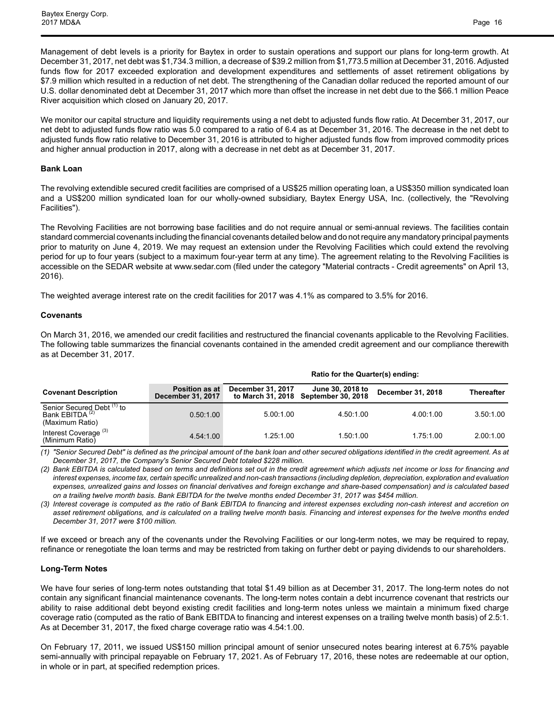Baytex Energy Corp. 2017 MD&A Page 16

Management of debt levels is a priority for Baytex in order to sustain operations and support our plans for long-term growth. At December 31, 2017, net debt was \$1,734.3 million, a decrease of \$39.2 million from \$1,773.5 million at December 31, 2016. Adjusted funds flow for 2017 exceeded exploration and development expenditures and settlements of asset retirement obligations by \$7.9 million which resulted in a reduction of net debt. The strengthening of the Canadian dollar reduced the reported amount of our U.S. dollar denominated debt at December 31, 2017 which more than offset the increase in net debt due to the \$66.1 million Peace River acquisition which closed on January 20, 2017.

We monitor our capital structure and liquidity requirements using a net debt to adjusted funds flow ratio. At December 31, 2017, our net debt to adjusted funds flow ratio was 5.0 compared to a ratio of 6.4 as at December 31, 2016. The decrease in the net debt to adjusted funds flow ratio relative to December 31, 2016 is attributed to higher adjusted funds flow from improved commodity prices and higher annual production in 2017, along with a decrease in net debt as at December 31, 2017.

#### **Bank Loan**

The revolving extendible secured credit facilities are comprised of a US\$25 million operating loan, a US\$350 million syndicated loan and a US\$200 million syndicated loan for our wholly-owned subsidiary, Baytex Energy USA, Inc. (collectively, the "Revolving Facilities").

The Revolving Facilities are not borrowing base facilities and do not require annual or semi-annual reviews. The facilities contain standard commercial covenants including the financial covenants detailed below and do not require any mandatory principal payments prior to maturity on June 4, 2019. We may request an extension under the Revolving Facilities which could extend the revolving period for up to four years (subject to a maximum four-year term at any time). The agreement relating to the Revolving Facilities is accessible on the SEDAR website at www.sedar.com (filed under the category "Material contracts - Credit agreements" on April 13, 2016).

The weighted average interest rate on the credit facilities for 2017 was 4.1% as compared to 3.5% for 2016.

#### **Covenants**

On March 31, 2016, we amended our credit facilities and restructured the financial covenants applicable to the Revolving Facilities. The following table summarizes the financial covenants contained in the amended credit agreement and our compliance therewith as at December 31, 2017.

**Ratio for the Quarter(s) ending:**

|                                                                                        |                                            | Ratio for the Quarter(S) entimy. |                                                          |                   |                   |  |  |  |  |  |  |
|----------------------------------------------------------------------------------------|--------------------------------------------|----------------------------------|----------------------------------------------------------|-------------------|-------------------|--|--|--|--|--|--|
| <b>Covenant Description</b>                                                            | <b>Position as at</b><br>December 31, 2017 | December 31, 2017                | June 30, 2018 to<br>to March 31, 2018 September 30, 2018 | December 31, 2018 | <b>Thereafter</b> |  |  |  |  |  |  |
| Senior Secured Debt <sup>(1)</sup> to<br>Bank EBITDA <sup>(2)</sup><br>(Maximum Ratio) | 0.50:1.00                                  | 5.00:1.00                        | 4.50:1.00                                                | 4.00:1.00         | 3.50:1.00         |  |  |  |  |  |  |
| Interest Coverage <sup>(3)</sup><br>(Minimum Ratio)                                    | 4.54:1.00                                  | 1.25:1.00                        | 1.50:1.00                                                | 1.75:1.00         | 2.00:1.00         |  |  |  |  |  |  |

*(1) "Senior Secured Debt" is defined as the principal amount of the bank loan and other secured obligations identified in the credit agreement. As at December 31, 2017, the Company's Senior Secured Debt totaled \$228 million.*

*(2) Bank EBITDA is calculated based on terms and definitions set out in the credit agreement which adjusts net income or loss for financing and interest expenses, income tax, certain specific unrealized and non-cash transactions (including depletion, depreciation, exploration and evaluation expenses, unrealized gains and losses on financial derivatives and foreign exchange and share-based compensation) and is calculated based on a trailing twelve month basis. Bank EBITDA for the twelve months ended December 31, 2017 was \$454 million.*

*(3) Interest coverage is computed as the ratio of Bank EBITDA to financing and interest expenses excluding non-cash interest and accretion on asset retirement obligations, and is calculated on a trailing twelve month basis. Financing and interest expenses for the twelve months ended December 31, 2017 were \$100 million.* 

If we exceed or breach any of the covenants under the Revolving Facilities or our long-term notes, we may be required to repay, refinance or renegotiate the loan terms and may be restricted from taking on further debt or paying dividends to our shareholders.

#### **Long-Term Notes**

We have four series of long-term notes outstanding that total \$1.49 billion as at December 31, 2017. The long-term notes do not contain any significant financial maintenance covenants. The long-term notes contain a debt incurrence covenant that restricts our ability to raise additional debt beyond existing credit facilities and long-term notes unless we maintain a minimum fixed charge coverage ratio (computed as the ratio of Bank EBITDA to financing and interest expenses on a trailing twelve month basis) of 2.5:1. As at December 31, 2017, the fixed charge coverage ratio was 4.54:1.00.

On February 17, 2011, we issued US\$150 million principal amount of senior unsecured notes bearing interest at 6.75% payable semi-annually with principal repayable on February 17, 2021. As of February 17, 2016, these notes are redeemable at our option, in whole or in part, at specified redemption prices.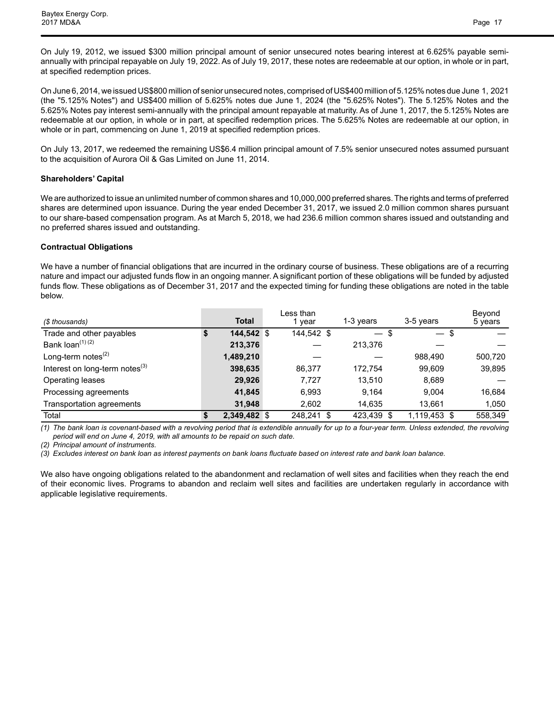On July 19, 2012, we issued \$300 million principal amount of senior unsecured notes bearing interest at 6.625% payable semiannually with principal repayable on July 19, 2022. As of July 19, 2017, these notes are redeemable at our option, in whole or in part, at specified redemption prices.

On June 6, 2014, we issued US\$800 million of senior unsecured notes, comprised of US\$400 million of 5.125% notes due June 1, 2021 (the "5.125% Notes") and US\$400 million of 5.625% notes due June 1, 2024 (the "5.625% Notes"). The 5.125% Notes and the 5.625% Notes pay interest semi-annually with the principal amount repayable at maturity. As of June 1, 2017, the 5.125% Notes are redeemable at our option, in whole or in part, at specified redemption prices. The 5.625% Notes are redeemable at our option, in whole or in part, commencing on June 1, 2019 at specified redemption prices.

On July 13, 2017, we redeemed the remaining US\$6.4 million principal amount of 7.5% senior unsecured notes assumed pursuant to the acquisition of Aurora Oil & Gas Limited on June 11, 2014.

## **Shareholders' Capital**

We are authorized to issue an unlimited number of common shares and 10,000,000 preferred shares. The rights and terms of preferred shares are determined upon issuance. During the year ended December 31, 2017, we issued 2.0 million common shares pursuant to our share-based compensation program. As at March 5, 2018, we had 236.6 million common shares issued and outstanding and no preferred shares issued and outstanding.

## **Contractual Obligations**

We have a number of financial obligations that are incurred in the ordinary course of business. These obligations are of a recurring nature and impact our adjusted funds flow in an ongoing manner. A significant portion of these obligations will be funded by adjusted funds flow. These obligations as of December 31, 2017 and the expected timing for funding these obligations are noted in the table below.

| (\$ thousands)                       |   | <b>Total</b> | Less than<br>year | 1-3 years  | 3-5 years    | Beyond<br>5 years |
|--------------------------------------|---|--------------|-------------------|------------|--------------|-------------------|
| Trade and other payables             | S | 144.542 \$   | 144,542 \$        | $-$ \$     | $-$ \$       |                   |
| Bank loan <sup>(1) (2)</sup>         |   | 213,376      |                   | 213,376    |              |                   |
| Long-term notes $(2)$                |   | 1,489,210    |                   |            | 988.490      | 500,720           |
| Interest on long-term notes $^{(3)}$ |   | 398,635      | 86,377            | 172.754    | 99.609       | 39,895            |
| Operating leases                     |   | 29.926       | 7.727             | 13.510     | 8,689        |                   |
| Processing agreements                |   | 41,845       | 6,993             | 9.164      | 9.004        | 16,684            |
| Transportation agreements            |   | 31.948       | 2,602             | 14.635     | 13.661       | 1.050             |
| Total                                |   | 2,349,482 \$ | 248,241 \$        | 423,439 \$ | 1,119,453 \$ | 558,349           |

*(1) The bank loan is covenant-based with a revolving period that is extendible annually for up to a four-year term. Unless extended, the revolving period will end on June 4, 2019, with all amounts to be repaid on such date.* 

*(2) Principal amount of instruments.* 

*(3) Excludes interest on bank loan as interest payments on bank loans fluctuate based on interest rate and bank loan balance.*

We also have ongoing obligations related to the abandonment and reclamation of well sites and facilities when they reach the end of their economic lives. Programs to abandon and reclaim well sites and facilities are undertaken regularly in accordance with applicable legislative requirements.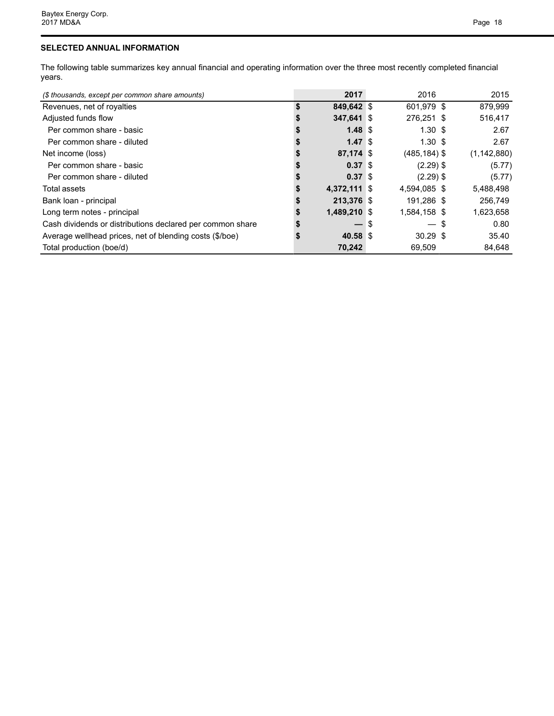## **SELECTED ANNUAL INFORMATION**

The following table summarizes key annual financial and operating information over the three most recently completed financial years.

| (\$ thousands, except per common share amounts)           | 2017                     |     | 2016               | 2015          |
|-----------------------------------------------------------|--------------------------|-----|--------------------|---------------|
| Revenues, net of royalties                                | \$<br>849,642 \$         |     | 601,979 \$         | 879,999       |
| Adjusted funds flow                                       | 347,641 \$               |     | 276,251 \$         | 516,417       |
| Per common share - basic                                  | $1.48 \text{ }$ \$       |     | 1.30S              | 2.67          |
| Per common share - diluted                                | 1.47S                    |     | $1.30 \text{ }$ \$ | 2.67          |
| Net income (loss)                                         | 87,174 \$                |     | $(485, 184)$ \$    | (1, 142, 880) |
| Per common share - basic                                  | 0.37 <sup>5</sup>        |     | $(2.29)$ \$        | (5.77)        |
| Per common share - diluted                                | 0.37S                    |     | $(2.29)$ \$        | (5.77)        |
| Total assets                                              | 4,372,111 \$             |     | 4,594,085 \$       | 5,488,498     |
| Bank loan - principal                                     | 213,376 \$               |     | 191,286 \$         | 256,749       |
| Long term notes - principal                               | 1,489,210 \$             |     | 1,584,158 \$       | 1,623,658     |
| Cash dividends or distributions declared per common share | $\overline{\phantom{0}}$ | ∣\$ | $-$ \$             | 0.80          |
| Average wellhead prices, net of blending costs (\$/boe)   | 40.58 \$                 |     | $30.29$ \$         | 35.40         |
| Total production (boe/d)                                  | 70,242                   |     | 69,509             | 84,648        |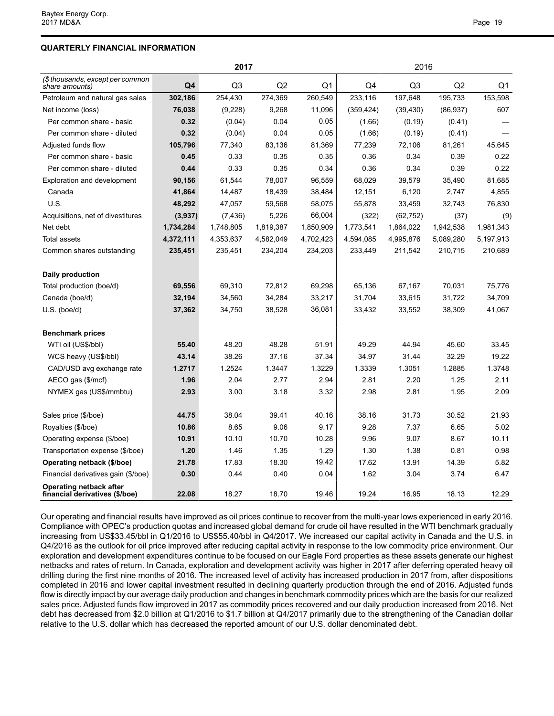## **QUARTERLY FINANCIAL INFORMATION**

|                                                           |           | 2017           |           |                | 2016       |                |           |           |  |  |  |
|-----------------------------------------------------------|-----------|----------------|-----------|----------------|------------|----------------|-----------|-----------|--|--|--|
| (\$ thousands, except per common<br>share amounts)        | Q4        | Q <sub>3</sub> | Q2        | Q <sub>1</sub> | Q4         | Q <sub>3</sub> | Q2        | Q1        |  |  |  |
| Petroleum and natural gas sales                           | 302,186   | 254,430        | 274,369   | 260,549        | 233,116    | 197,648        | 195,733   | 153,598   |  |  |  |
| Net income (loss)                                         | 76,038    | (9,228)        | 9,268     | 11,096         | (359, 424) | (39, 430)      | (86, 937) | 607       |  |  |  |
| Per common share - basic                                  | 0.32      | (0.04)         | 0.04      | 0.05           | (1.66)     | (0.19)         | (0.41)    |           |  |  |  |
| Per common share - diluted                                | 0.32      | (0.04)         | 0.04      | 0.05           | (1.66)     | (0.19)         | (0.41)    |           |  |  |  |
| Adjusted funds flow                                       | 105,796   | 77,340         | 83,136    | 81,369         | 77,239     | 72,106         | 81,261    | 45,645    |  |  |  |
| Per common share - basic                                  | 0.45      | 0.33           | 0.35      | 0.35           | 0.36       | 0.34           | 0.39      | 0.22      |  |  |  |
| Per common share - diluted                                | 0.44      | 0.33           | 0.35      | 0.34           | 0.36       | 0.34           | 0.39      | 0.22      |  |  |  |
| Exploration and development                               | 90,156    | 61,544         | 78,007    | 96,559         | 68,029     | 39,579         | 35,490    | 81,685    |  |  |  |
| Canada                                                    | 41,864    | 14,487         | 18,439    | 38,484         | 12,151     | 6,120          | 2,747     | 4,855     |  |  |  |
| U.S.                                                      | 48,292    | 47,057         | 59,568    | 58,075         | 55,878     | 33,459         | 32,743    | 76,830    |  |  |  |
| Acquisitions, net of divestitures                         | (3,937)   | (7, 436)       | 5,226     | 66,004         | (322)      | (62, 752)      | (37)      | (9)       |  |  |  |
| Net debt                                                  | 1,734,284 | 1,748,805      | 1,819,387 | 1,850,909      | 1,773,541  | 1,864,022      | 1,942,538 | 1,981,343 |  |  |  |
| Total assets                                              | 4,372,111 | 4,353,637      | 4,582,049 | 4,702,423      | 4,594,085  | 4,995,876      | 5,089,280 | 5,197,913 |  |  |  |
| Common shares outstanding                                 | 235,451   | 235,451        | 234,204   | 234,203        | 233,449    | 211,542        | 210,715   | 210,689   |  |  |  |
| Daily production                                          |           |                |           |                |            |                |           |           |  |  |  |
| Total production (boe/d)                                  | 69,556    | 69,310         | 72,812    | 69,298         | 65,136     | 67,167         | 70,031    | 75,776    |  |  |  |
| Canada (boe/d)                                            | 32,194    | 34,560         | 34,284    | 33,217         | 31,704     | 33,615         | 31,722    | 34,709    |  |  |  |
| $U.S.$ (boe/d)                                            | 37,362    | 34,750         | 38,528    | 36,081         | 33,432     | 33,552         | 38,309    | 41,067    |  |  |  |
| <b>Benchmark prices</b>                                   |           |                |           |                |            |                |           |           |  |  |  |
| WTI oil (US\$/bbl)                                        | 55.40     | 48.20          | 48.28     | 51.91          | 49.29      | 44.94          | 45.60     | 33.45     |  |  |  |
| WCS heavy (US\$/bbl)                                      | 43.14     | 38.26          | 37.16     | 37.34          | 34.97      | 31.44          | 32.29     | 19.22     |  |  |  |
| CAD/USD avg exchange rate                                 | 1.2717    | 1.2524         | 1.3447    | 1.3229         | 1.3339     | 1.3051         | 1.2885    | 1.3748    |  |  |  |
| AECO gas (\$/mcf)                                         | 1.96      | 2.04           | 2.77      | 2.94           | 2.81       | 2.20           | 1.25      | 2.11      |  |  |  |
| NYMEX gas (US\$/mmbtu)                                    | 2.93      | 3.00           | 3.18      | 3.32           | 2.98       | 2.81           | 1.95      | 2.09      |  |  |  |
| Sales price (\$/boe)                                      | 44.75     | 38.04          | 39.41     | 40.16          | 38.16      | 31.73          | 30.52     | 21.93     |  |  |  |
| Royalties (\$/boe)                                        | 10.86     | 8.65           | 9.06      | 9.17           | 9.28       | 7.37           | 6.65      | 5.02      |  |  |  |
| Operating expense (\$/boe)                                | 10.91     | 10.10          | 10.70     | 10.28          | 9.96       | 9.07           | 8.67      | 10.11     |  |  |  |
| Transportation expense (\$/boe)                           | 1.20      | 1.46           | 1.35      | 1.29           | 1.30       | 1.38           | 0.81      | 0.98      |  |  |  |
| Operating netback (\$/boe)                                | 21.78     | 17.83          | 18.30     | 19.42          | 17.62      | 13.91          | 14.39     | 5.82      |  |  |  |
| Financial derivatives gain (\$/boe)                       | 0.30      | 0.44           | 0.40      | 0.04           | 1.62       | 3.04           | 3.74      | 6.47      |  |  |  |
| Operating netback after<br>financial derivatives (\$/boe) | 22.08     | 18.27          | 18.70     | 19.46          | 19.24      | 16.95          | 18.13     | 12.29     |  |  |  |

Our operating and financial results have improved as oil prices continue to recover from the multi-year lows experienced in early 2016. Compliance with OPEC's production quotas and increased global demand for crude oil have resulted in the WTI benchmark gradually increasing from US\$33.45/bbl in Q1/2016 to US\$55.40/bbl in Q4/2017. We increased our capital activity in Canada and the U.S. in Q4/2016 as the outlook for oil price improved after reducing capital activity in response to the low commodity price environment. Our exploration and development expenditures continue to be focused on our Eagle Ford properties as these assets generate our highest netbacks and rates of return. In Canada, exploration and development activity was higher in 2017 after deferring operated heavy oil drilling during the first nine months of 2016. The increased level of activity has increased production in 2017 from, after dispositions completed in 2016 and lower capital investment resulted in declining quarterly production through the end of 2016. Adjusted funds flow is directly impact by our average daily production and changes in benchmark commodity prices which are the basis for our realized sales price. Adjusted funds flow improved in 2017 as commodity prices recovered and our daily production increased from 2016. Net debt has decreased from \$2.0 billion at Q1/2016 to \$1.7 billion at Q4/2017 primarily due to the strengthening of the Canadian dollar relative to the U.S. dollar which has decreased the reported amount of our U.S. dollar denominated debt.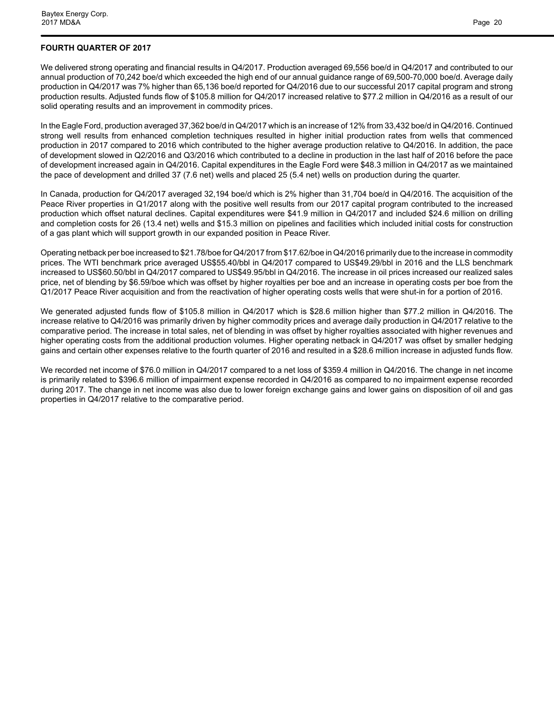## **FOURTH QUARTER OF 2017**

We delivered strong operating and financial results in Q4/2017. Production averaged 69,556 boe/d in Q4/2017 and contributed to our annual production of 70,242 boe/d which exceeded the high end of our annual guidance range of 69,500-70,000 boe/d. Average daily production in Q4/2017 was 7% higher than 65,136 boe/d reported for Q4/2016 due to our successful 2017 capital program and strong production results. Adjusted funds flow of \$105.8 million for Q4/2017 increased relative to \$77.2 million in Q4/2016 as a result of our solid operating results and an improvement in commodity prices.

In the Eagle Ford, production averaged 37,362 boe/d in Q4/2017 which is an increase of 12% from 33,432 boe/d in Q4/2016. Continued strong well results from enhanced completion techniques resulted in higher initial production rates from wells that commenced production in 2017 compared to 2016 which contributed to the higher average production relative to Q4/2016. In addition, the pace of development slowed in Q2/2016 and Q3/2016 which contributed to a decline in production in the last half of 2016 before the pace of development increased again in Q4/2016. Capital expenditures in the Eagle Ford were \$48.3 million in Q4/2017 as we maintained the pace of development and drilled 37 (7.6 net) wells and placed 25 (5.4 net) wells on production during the quarter.

In Canada, production for Q4/2017 averaged 32,194 boe/d which is 2% higher than 31,704 boe/d in Q4/2016. The acquisition of the Peace River properties in Q1/2017 along with the positive well results from our 2017 capital program contributed to the increased production which offset natural declines. Capital expenditures were \$41.9 million in Q4/2017 and included \$24.6 million on drilling and completion costs for 26 (13.4 net) wells and \$15.3 million on pipelines and facilities which included initial costs for construction of a gas plant which will support growth in our expanded position in Peace River.

Operating netback per boe increased to \$21.78/boe for Q4/2017 from \$17.62/boe in Q4/2016 primarily due to the increase in commodity prices. The WTI benchmark price averaged US\$55.40/bbl in Q4/2017 compared to US\$49.29/bbl in 2016 and the LLS benchmark increased to US\$60.50/bbl in Q4/2017 compared to US\$49.95/bbl in Q4/2016. The increase in oil prices increased our realized sales price, net of blending by \$6.59/boe which was offset by higher royalties per boe and an increase in operating costs per boe from the Q1/2017 Peace River acquisition and from the reactivation of higher operating costs wells that were shut-in for a portion of 2016.

We generated adjusted funds flow of \$105.8 million in Q4/2017 which is \$28.6 million higher than \$77.2 million in Q4/2016. The increase relative to Q4/2016 was primarily driven by higher commodity prices and average daily production in Q4/2017 relative to the comparative period. The increase in total sales, net of blending in was offset by higher royalties associated with higher revenues and higher operating costs from the additional production volumes. Higher operating netback in Q4/2017 was offset by smaller hedging gains and certain other expenses relative to the fourth quarter of 2016 and resulted in a \$28.6 million increase in adjusted funds flow.

We recorded net income of \$76.0 million in Q4/2017 compared to a net loss of \$359.4 million in Q4/2016. The change in net income is primarily related to \$396.6 million of impairment expense recorded in Q4/2016 as compared to no impairment expense recorded during 2017. The change in net income was also due to lower foreign exchange gains and lower gains on disposition of oil and gas properties in Q4/2017 relative to the comparative period.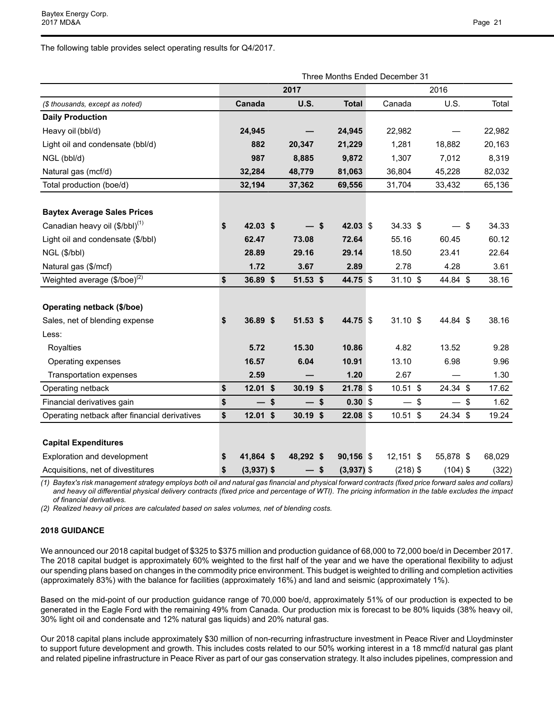The following table provides select operating results for Q4/2017.

|                                               | Three Months Ended December 31 |              |  |             |    |              |  |             |      |            |        |
|-----------------------------------------------|--------------------------------|--------------|--|-------------|----|--------------|--|-------------|------|------------|--------|
|                                               |                                |              |  | 2017        |    |              |  |             |      | 2016       |        |
| (\$ thousands, except as noted)               |                                | Canada       |  | <b>U.S.</b> |    | <b>Total</b> |  | Canada      |      | U.S.       | Total  |
| <b>Daily Production</b>                       |                                |              |  |             |    |              |  |             |      |            |        |
| Heavy oil (bbl/d)                             |                                | 24,945       |  |             |    | 24,945       |  | 22,982      |      |            | 22,982 |
| Light oil and condensate (bbl/d)              |                                | 882          |  | 20,347      |    | 21,229       |  | 1,281       |      | 18,882     | 20,163 |
| NGL (bbl/d)                                   |                                | 987          |  | 8,885       |    | 9,872        |  | 1,307       |      | 7,012      | 8,319  |
| Natural gas (mcf/d)                           |                                | 32,284       |  | 48,779      |    | 81,063       |  | 36,804      |      | 45,228     | 82,032 |
| Total production (boe/d)                      |                                | 32,194       |  | 37,362      |    | 69,556       |  | 31,704      |      | 33,432     | 65,136 |
|                                               |                                |              |  |             |    |              |  |             |      |            |        |
| <b>Baytex Average Sales Prices</b>            |                                |              |  |             |    |              |  |             |      |            |        |
| Canadian heavy oil (\$/bbl) <sup>(1)</sup>    | \$                             | 42.03 \$     |  |             | \$ | 42.03 \$     |  | 34.33 \$    |      | - \$       | 34.33  |
| Light oil and condensate (\$/bbl)             |                                | 62.47        |  | 73.08       |    | 72.64        |  | 55.16       |      | 60.45      | 60.12  |
| NGL (\$/bbl)                                  |                                | 28.89        |  | 29.16       |    | 29.14        |  | 18.50       |      | 23.41      | 22.64  |
| Natural gas (\$/mcf)                          |                                | 1.72         |  | 3.67        |    | 2.89         |  | 2.78        |      | 4.28       | 3.61   |
| Weighted average (\$/boe) <sup>(2)</sup>      | \$                             | 36.89 \$     |  | 51.53 \$    |    | 44.75 \$     |  | $31.10$ \$  |      | 44.84 \$   | 38.16  |
|                                               |                                |              |  |             |    |              |  |             |      |            |        |
| Operating netback (\$/boe)                    |                                |              |  |             |    |              |  |             |      |            |        |
| Sales, net of blending expense                | \$                             | 36.89 \$     |  | $51.53$ \$  |    | 44.75 \$     |  | $31.10$ \$  |      | 44.84 \$   | 38.16  |
| Less:                                         |                                |              |  |             |    |              |  |             |      |            |        |
| Royalties                                     |                                | 5.72         |  | 15.30       |    | 10.86        |  | 4.82        |      | 13.52      | 9.28   |
| Operating expenses                            |                                | 16.57        |  | 6.04        |    | 10.91        |  | 13.10       |      | 6.98       | 9.96   |
| Transportation expenses                       |                                | 2.59         |  |             |    | 1.20         |  | 2.67        |      |            | 1.30   |
| Operating netback                             | \$                             | $12.01$ \$   |  | $30.19$ \$  |    | 21.78 \$     |  | 10.51 \$    |      | 24.34 \$   | 17.62  |
| Financial derivatives gain                    | \$                             | $-$ \$       |  | — \$        |    | $0.30$ \$    |  |             | - \$ | - \$       | 1.62   |
| Operating netback after financial derivatives | \$                             | $12.01$ \$   |  | $30.19$ \$  |    | 22.08 \$     |  | 10.51 \$    |      | 24.34 \$   | 19.24  |
|                                               |                                |              |  |             |    |              |  |             |      |            |        |
| <b>Capital Expenditures</b>                   |                                |              |  |             |    |              |  |             |      |            |        |
| Exploration and development                   | \$                             | 41,864 \$    |  | 48,292 \$   |    | 90,156 \$    |  | $12,151$ \$ |      | 55,878 \$  | 68,029 |
| Acquisitions, net of divestitures             | \$                             | $(3,937)$ \$ |  | — \$        |    | $(3,937)$ \$ |  | $(218)$ \$  |      | $(104)$ \$ | (322)  |

*(1) Baytex's risk management strategy employs both oil and natural gas financial and physical forward contracts (fixed price forward sales and collars) and heavy oil differential physical delivery contracts (fixed price and percentage of WTI). The pricing information in the table excludes the impact of financial derivatives.* 

*(2) Realized heavy oil prices are calculated based on sales volumes, net of blending costs.* 

## **2018 GUIDANCE**

We announced our 2018 capital budget of \$325 to \$375 million and production guidance of 68,000 to 72,000 boe/d in December 2017. The 2018 capital budget is approximately 60% weighted to the first half of the year and we have the operational flexibility to adjust our spending plans based on changes in the commodity price environment. This budget is weighted to drilling and completion activities (approximately 83%) with the balance for facilities (approximately 16%) and land and seismic (approximately 1%).

Based on the mid-point of our production guidance range of 70,000 boe/d, approximately 51% of our production is expected to be generated in the Eagle Ford with the remaining 49% from Canada. Our production mix is forecast to be 80% liquids (38% heavy oil, 30% light oil and condensate and 12% natural gas liquids) and 20% natural gas.

Our 2018 capital plans include approximately \$30 million of non-recurring infrastructure investment in Peace River and Lloydminster to support future development and growth. This includes costs related to our 50% working interest in a 18 mmcf/d natural gas plant and related pipeline infrastructure in Peace River as part of our gas conservation strategy. It also includes pipelines, compression and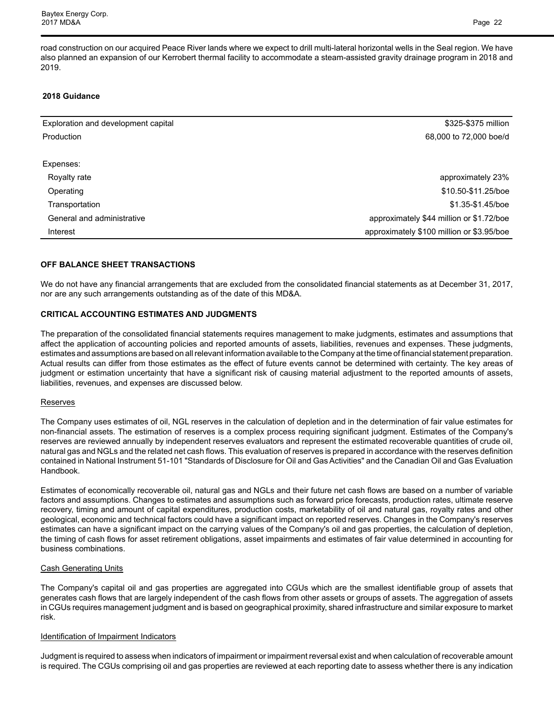road construction on our acquired Peace River lands where we expect to drill multi-lateral horizontal wells in the Seal region. We have also planned an expansion of our Kerrobert thermal facility to accommodate a steam-assisted gravity drainage program in 2018 and 2019.

## **2018 Guidance**

| Exploration and development capital | \$325-\$375 million                       |
|-------------------------------------|-------------------------------------------|
| Production                          | 68,000 to 72,000 boe/d                    |
|                                     |                                           |
| Expenses:                           |                                           |
| Royalty rate                        | approximately 23%                         |
| Operating                           | \$10.50-\$11.25/boe                       |
| Transportation                      | \$1.35-\$1.45/boe                         |
| General and administrative          | approximately \$44 million or \$1.72/boe  |
| Interest                            | approximately \$100 million or \$3.95/boe |

## **OFF BALANCE SHEET TRANSACTIONS**

We do not have any financial arrangements that are excluded from the consolidated financial statements as at December 31, 2017, nor are any such arrangements outstanding as of the date of this MD&A.

## **CRITICAL ACCOUNTING ESTIMATES AND JUDGMENTS**

The preparation of the consolidated financial statements requires management to make judgments, estimates and assumptions that affect the application of accounting policies and reported amounts of assets, liabilities, revenues and expenses. These judgments, estimates and assumptions are based on all relevant information available to the Company at the time of financial statement preparation. Actual results can differ from those estimates as the effect of future events cannot be determined with certainty. The key areas of judgment or estimation uncertainty that have a significant risk of causing material adjustment to the reported amounts of assets, liabilities, revenues, and expenses are discussed below.

## Reserves

The Company uses estimates of oil, NGL reserves in the calculation of depletion and in the determination of fair value estimates for non-financial assets. The estimation of reserves is a complex process requiring significant judgment. Estimates of the Company's reserves are reviewed annually by independent reserves evaluators and represent the estimated recoverable quantities of crude oil, natural gas and NGLs and the related net cash flows. This evaluation of reserves is prepared in accordance with the reserves definition contained in National Instrument 51-101 "Standards of Disclosure for Oil and Gas Activities" and the Canadian Oil and Gas Evaluation Handbook.

Estimates of economically recoverable oil, natural gas and NGLs and their future net cash flows are based on a number of variable factors and assumptions. Changes to estimates and assumptions such as forward price forecasts, production rates, ultimate reserve recovery, timing and amount of capital expenditures, production costs, marketability of oil and natural gas, royalty rates and other geological, economic and technical factors could have a significant impact on reported reserves. Changes in the Company's reserves estimates can have a significant impact on the carrying values of the Company's oil and gas properties, the calculation of depletion, the timing of cash flows for asset retirement obligations, asset impairments and estimates of fair value determined in accounting for business combinations.

#### Cash Generating Units

The Company's capital oil and gas properties are aggregated into CGUs which are the smallest identifiable group of assets that generates cash flows that are largely independent of the cash flows from other assets or groups of assets. The aggregation of assets in CGUs requires management judgment and is based on geographical proximity, shared infrastructure and similar exposure to market risk.

## Identification of Impairment Indicators

Judgment is required to assess when indicators of impairment or impairment reversal exist and when calculation of recoverable amount is required. The CGUs comprising oil and gas properties are reviewed at each reporting date to assess whether there is any indication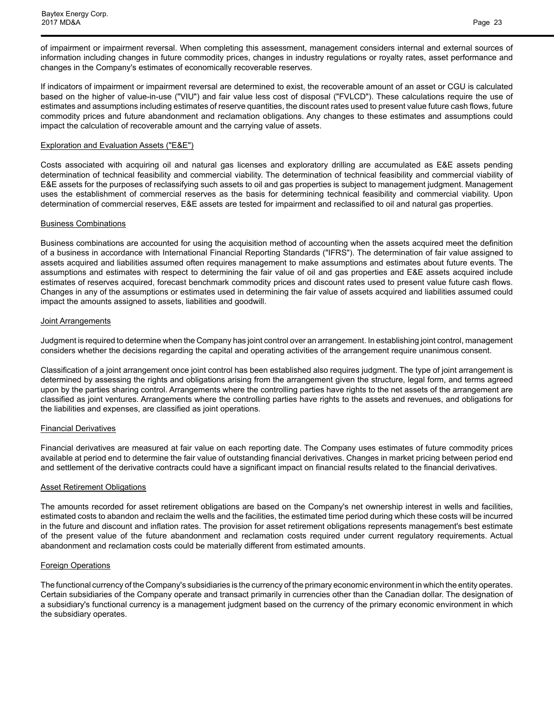of impairment or impairment reversal. When completing this assessment, management considers internal and external sources of information including changes in future commodity prices, changes in industry regulations or royalty rates, asset performance and changes in the Company's estimates of economically recoverable reserves.

If indicators of impairment or impairment reversal are determined to exist, the recoverable amount of an asset or CGU is calculated based on the higher of value-in-use ("VIU") and fair value less cost of disposal ("FVLCD"). These calculations require the use of estimates and assumptions including estimates of reserve quantities, the discount rates used to present value future cash flows, future commodity prices and future abandonment and reclamation obligations. Any changes to these estimates and assumptions could impact the calculation of recoverable amount and the carrying value of assets.

### Exploration and Evaluation Assets ("E&E")

Costs associated with acquiring oil and natural gas licenses and exploratory drilling are accumulated as E&E assets pending determination of technical feasibility and commercial viability. The determination of technical feasibility and commercial viability of E&E assets for the purposes of reclassifying such assets to oil and gas properties is subject to management judgment. Management uses the establishment of commercial reserves as the basis for determining technical feasibility and commercial viability. Upon determination of commercial reserves, E&E assets are tested for impairment and reclassified to oil and natural gas properties.

#### Business Combinations

Business combinations are accounted for using the acquisition method of accounting when the assets acquired meet the definition of a business in accordance with International Financial Reporting Standards ("IFRS"). The determination of fair value assigned to assets acquired and liabilities assumed often requires management to make assumptions and estimates about future events. The assumptions and estimates with respect to determining the fair value of oil and gas properties and E&E assets acquired include estimates of reserves acquired, forecast benchmark commodity prices and discount rates used to present value future cash flows. Changes in any of the assumptions or estimates used in determining the fair value of assets acquired and liabilities assumed could impact the amounts assigned to assets, liabilities and goodwill.

#### Joint Arrangements

Judgment is required to determine when the Company has joint control over an arrangement. In establishing joint control, management considers whether the decisions regarding the capital and operating activities of the arrangement require unanimous consent.

Classification of a joint arrangement once joint control has been established also requires judgment. The type of joint arrangement is determined by assessing the rights and obligations arising from the arrangement given the structure, legal form, and terms agreed upon by the parties sharing control. Arrangements where the controlling parties have rights to the net assets of the arrangement are classified as joint ventures. Arrangements where the controlling parties have rights to the assets and revenues, and obligations for the liabilities and expenses, are classified as joint operations.

## Financial Derivatives

Financial derivatives are measured at fair value on each reporting date. The Company uses estimates of future commodity prices available at period end to determine the fair value of outstanding financial derivatives. Changes in market pricing between period end and settlement of the derivative contracts could have a significant impact on financial results related to the financial derivatives.

#### **Asset Retirement Obligations**

The amounts recorded for asset retirement obligations are based on the Company's net ownership interest in wells and facilities, estimated costs to abandon and reclaim the wells and the facilities, the estimated time period during which these costs will be incurred in the future and discount and inflation rates. The provision for asset retirement obligations represents management's best estimate of the present value of the future abandonment and reclamation costs required under current regulatory requirements. Actual abandonment and reclamation costs could be materially different from estimated amounts.

#### Foreign Operations

The functional currency of the Company's subsidiaries is the currency of the primary economic environment in which the entity operates. Certain subsidiaries of the Company operate and transact primarily in currencies other than the Canadian dollar. The designation of a subsidiary's functional currency is a management judgment based on the currency of the primary economic environment in which the subsidiary operates.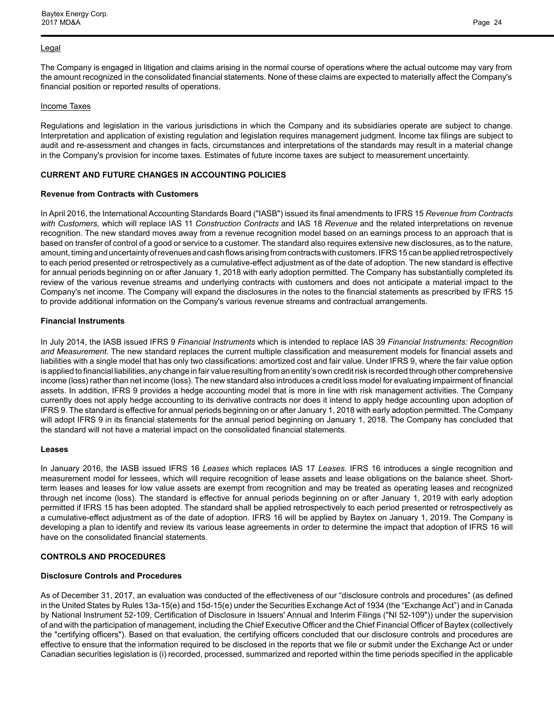#### Legal

The Company is engaged in litigation and claims arising in the normal course of operations where the actual outcome may vary from the amount recognized in the consolidated financial statements. None of these claims are expected to materially affect the Company's financial position or reported results of operations.

## Income Taxes

Regulations and legislation in the various jurisdictions in which the Company and its subsidiaries operate are subject to change. Interpretation and application of existing regulation and legislation requires management judgment. Income tax filings are subject to audit and re-assessment and changes in facts, circumstances and interpretations of the standards may result in a material change in the Company's provision for income taxes. Estimates of future income taxes are subject to measurement uncertainty.

## **CURRENT AND FUTURE CHANGES IN ACCOUNTING POLICIES**

## **Revenue from Contracts with Customers**

In April 2016, the International Accounting Standards Board ("IASB") issued its final amendments to IFRS 15 *Revenue from Contracts with Customers,* which will replace IAS 11 *Construction Contracts* and IAS 18 *Revenue* and the related interpretations on revenue recognition. The new standard moves away from a revenue recognition model based on an earnings process to an approach that is based on transfer of control of a good or service to a customer. The standard also requires extensive new disclosures, as to the nature, amount, timing and uncertainty of revenues and cash flows arising from contracts with customers. IFRS 15 can be applied retrospectively to each period presented or retrospectively as a cumulative-effect adjustment as of the date of adoption. The new standard is effective for annual periods beginning on or after January 1, 2018 with early adoption permitted. The Company has substantially completed its review of the various revenue streams and underlying contracts with customers and does not anticipate a material impact to the Company's net income. The Company will expand the disclosures in the notes to the financial statements as prescribed by IFRS 15 to provide additional information on the Company's various revenue streams and contractual arrangements.

## **Financial Instruments**

In July 2014, the IASB issued IFRS 9 *Financial Instruments* which is intended to replace IAS 39 *Financial Instruments: Recognition and Measurement*. The new standard replaces the current multiple classification and measurement models for financial assets and liabilities with a single model that has only two classifications: amortized cost and fair value. Under IFRS 9, where the fair value option is applied to financial liabilities, any change in fair value resulting from an entity's own credit risk is recorded through other comprehensive income (loss) rather than net income (loss). The new standard also introduces a credit loss model for evaluating impairment of financial assets. In addition, IFRS 9 provides a hedge accounting model that is more in line with risk management activities. The Company currently does not apply hedge accounting to its derivative contracts nor does it intend to apply hedge accounting upon adoption of IFRS 9. The standard is effective for annual periods beginning on or after January 1, 2018 with early adoption permitted. The Company will adopt IFRS 9 in its financial statements for the annual period beginning on January 1, 2018. The Company has concluded that the standard will not have a material impact on the consolidated financial statements.

## **Leases**

In January 2016, the IASB issued IFRS 16 *Leases* which replaces IAS 17 *Leases.* IFRS 16 introduces a single recognition and measurement model for lessees, which will require recognition of lease assets and lease obligations on the balance sheet. Shortterm leases and leases for low value assets are exempt from recognition and may be treated as operating leases and recognized through net income (loss). The standard is effective for annual periods beginning on or after January 1, 2019 with early adoption permitted if IFRS 15 has been adopted. The standard shall be applied retrospectively to each period presented or retrospectively as a cumulative-effect adjustment as of the date of adoption. IFRS 16 will be applied by Baytex on January 1, 2019. The Company is developing a plan to identify and review its various lease agreements in order to determine the impact that adoption of IFRS 16 will have on the consolidated financial statements.

## **CONTROLS AND PROCEDURES**

## **Disclosure Controls and Procedures**

As of December 31, 2017, an evaluation was conducted of the effectiveness of our "disclosure controls and procedures" (as defined in the United States by Rules 13a-15(e) and 15d-15(e) under the Securities Exchange Act of 1934 (the "Exchange Act") and in Canada by National Instrument 52-109, Certification of Disclosure in Issuers' Annual and Interim Filings ("NI 52-109")) under the supervision of and with the participation of management, including the Chief Executive Officer and the Chief Financial Officer of Baytex (collectively the "certifying officers"). Based on that evaluation, the certifying officers concluded that our disclosure controls and procedures are effective to ensure that the information required to be disclosed in the reports that we file or submit under the Exchange Act or under Canadian securities legislation is (i) recorded, processed, summarized and reported within the time periods specified in the applicable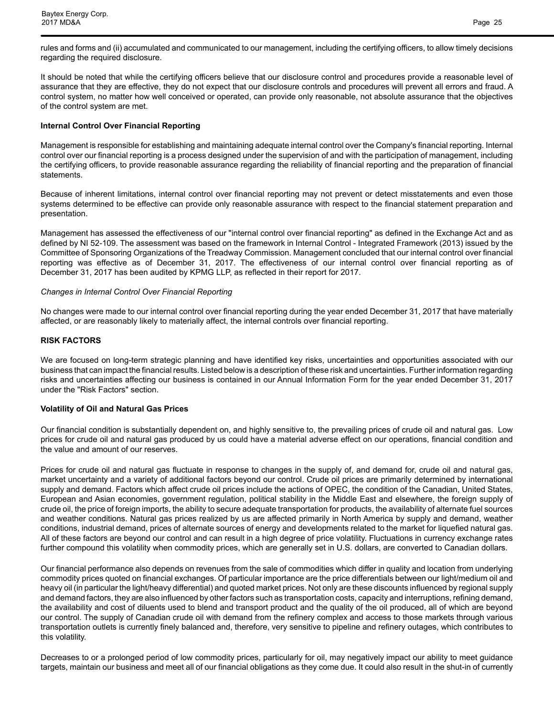rules and forms and (ii) accumulated and communicated to our management, including the certifying officers, to allow timely decisions regarding the required disclosure.

It should be noted that while the certifying officers believe that our disclosure control and procedures provide a reasonable level of assurance that they are effective, they do not expect that our disclosure controls and procedures will prevent all errors and fraud. A control system, no matter how well conceived or operated, can provide only reasonable, not absolute assurance that the objectives of the control system are met.

### **Internal Control Over Financial Reporting**

Management is responsible for establishing and maintaining adequate internal control over the Company's financial reporting. Internal control over our financial reporting is a process designed under the supervision of and with the participation of management, including the certifying officers, to provide reasonable assurance regarding the reliability of financial reporting and the preparation of financial statements.

Because of inherent limitations, internal control over financial reporting may not prevent or detect misstatements and even those systems determined to be effective can provide only reasonable assurance with respect to the financial statement preparation and presentation.

Management has assessed the effectiveness of our "internal control over financial reporting" as defined in the Exchange Act and as defined by NI 52-109. The assessment was based on the framework in Internal Control - Integrated Framework (2013) issued by the Committee of Sponsoring Organizations of the Treadway Commission. Management concluded that our internal control over financial reporting was effective as of December 31, 2017. The effectiveness of our internal control over financial reporting as of December 31, 2017 has been audited by KPMG LLP, as reflected in their report for 2017.

#### *Changes in Internal Control Over Financial Reporting*

No changes were made to our internal control over financial reporting during the year ended December 31, 2017 that have materially affected, or are reasonably likely to materially affect, the internal controls over financial reporting.

#### **RISK FACTORS**

We are focused on long-term strategic planning and have identified key risks, uncertainties and opportunities associated with our business that can impact the financial results. Listed below is a description of these risk and uncertainties. Further information regarding risks and uncertainties affecting our business is contained in our Annual Information Form for the year ended December 31, 2017 under the "Risk Factors" section.

## **Volatility of Oil and Natural Gas Prices**

Our financial condition is substantially dependent on, and highly sensitive to, the prevailing prices of crude oil and natural gas. Low prices for crude oil and natural gas produced by us could have a material adverse effect on our operations, financial condition and the value and amount of our reserves.

Prices for crude oil and natural gas fluctuate in response to changes in the supply of, and demand for, crude oil and natural gas, market uncertainty and a variety of additional factors beyond our control. Crude oil prices are primarily determined by international supply and demand. Factors which affect crude oil prices include the actions of OPEC, the condition of the Canadian, United States, European and Asian economies, government regulation, political stability in the Middle East and elsewhere, the foreign supply of crude oil, the price of foreign imports, the ability to secure adequate transportation for products, the availability of alternate fuel sources and weather conditions. Natural gas prices realized by us are affected primarily in North America by supply and demand, weather conditions, industrial demand, prices of alternate sources of energy and developments related to the market for liquefied natural gas. All of these factors are beyond our control and can result in a high degree of price volatility. Fluctuations in currency exchange rates further compound this volatility when commodity prices, which are generally set in U.S. dollars, are converted to Canadian dollars.

Our financial performance also depends on revenues from the sale of commodities which differ in quality and location from underlying commodity prices quoted on financial exchanges. Of particular importance are the price differentials between our light/medium oil and heavy oil (in particular the light/heavy differential) and quoted market prices. Not only are these discounts influenced by regional supply and demand factors, they are also influenced by other factors such as transportation costs, capacity and interruptions, refining demand, the availability and cost of diluents used to blend and transport product and the quality of the oil produced, all of which are beyond our control. The supply of Canadian crude oil with demand from the refinery complex and access to those markets through various transportation outlets is currently finely balanced and, therefore, very sensitive to pipeline and refinery outages, which contributes to this volatility.

Decreases to or a prolonged period of low commodity prices, particularly for oil, may negatively impact our ability to meet guidance targets, maintain our business and meet all of our financial obligations as they come due. It could also result in the shut-in of currently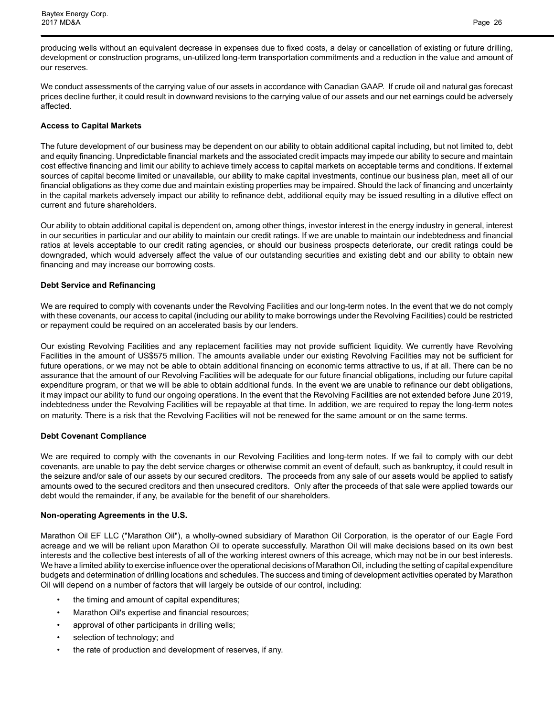producing wells without an equivalent decrease in expenses due to fixed costs, a delay or cancellation of existing or future drilling, development or construction programs, un-utilized long-term transportation commitments and a reduction in the value and amount of our reserves.

We conduct assessments of the carrying value of our assets in accordance with Canadian GAAP. If crude oil and natural gas forecast prices decline further, it could result in downward revisions to the carrying value of our assets and our net earnings could be adversely affected.

## **Access to Capital Markets**

The future development of our business may be dependent on our ability to obtain additional capital including, but not limited to, debt and equity financing. Unpredictable financial markets and the associated credit impacts may impede our ability to secure and maintain cost effective financing and limit our ability to achieve timely access to capital markets on acceptable terms and conditions. If external sources of capital become limited or unavailable, our ability to make capital investments, continue our business plan, meet all of our financial obligations as they come due and maintain existing properties may be impaired. Should the lack of financing and uncertainty in the capital markets adversely impact our ability to refinance debt, additional equity may be issued resulting in a dilutive effect on current and future shareholders.

Our ability to obtain additional capital is dependent on, among other things, investor interest in the energy industry in general, interest in our securities in particular and our ability to maintain our credit ratings. If we are unable to maintain our indebtedness and financial ratios at levels acceptable to our credit rating agencies, or should our business prospects deteriorate, our credit ratings could be downgraded, which would adversely affect the value of our outstanding securities and existing debt and our ability to obtain new financing and may increase our borrowing costs.

## **Debt Service and Refinancing**

We are required to comply with covenants under the Revolving Facilities and our long-term notes. In the event that we do not comply with these covenants, our access to capital (including our ability to make borrowings under the Revolving Facilities) could be restricted or repayment could be required on an accelerated basis by our lenders.

Our existing Revolving Facilities and any replacement facilities may not provide sufficient liquidity. We currently have Revolving Facilities in the amount of US\$575 million. The amounts available under our existing Revolving Facilities may not be sufficient for future operations, or we may not be able to obtain additional financing on economic terms attractive to us, if at all. There can be no assurance that the amount of our Revolving Facilities will be adequate for our future financial obligations, including our future capital expenditure program, or that we will be able to obtain additional funds. In the event we are unable to refinance our debt obligations, it may impact our ability to fund our ongoing operations. In the event that the Revolving Facilities are not extended before June 2019, indebtedness under the Revolving Facilities will be repayable at that time. In addition, we are required to repay the long-term notes on maturity. There is a risk that the Revolving Facilities will not be renewed for the same amount or on the same terms.

## **Debt Covenant Compliance**

We are required to comply with the covenants in our Revolving Facilities and long-term notes. If we fail to comply with our debt covenants, are unable to pay the debt service charges or otherwise commit an event of default, such as bankruptcy, it could result in the seizure and/or sale of our assets by our secured creditors. The proceeds from any sale of our assets would be applied to satisfy amounts owed to the secured creditors and then unsecured creditors. Only after the proceeds of that sale were applied towards our debt would the remainder, if any, be available for the benefit of our shareholders.

## **Non-operating Agreements in the U.S.**

Marathon Oil EF LLC ("Marathon Oil"), a wholly-owned subsidiary of Marathon Oil Corporation, is the operator of our Eagle Ford acreage and we will be reliant upon Marathon Oil to operate successfully. Marathon Oil will make decisions based on its own best interests and the collective best interests of all of the working interest owners of this acreage, which may not be in our best interests. We have a limited ability to exercise influence over the operational decisions of Marathon Oil, including the setting of capital expenditure budgets and determination of drilling locations and schedules. The success and timing of development activities operated by Marathon Oil will depend on a number of factors that will largely be outside of our control, including:

- the timing and amount of capital expenditures;
- Marathon Oil's expertise and financial resources;
- approval of other participants in drilling wells;
- selection of technology; and
- the rate of production and development of reserves, if any.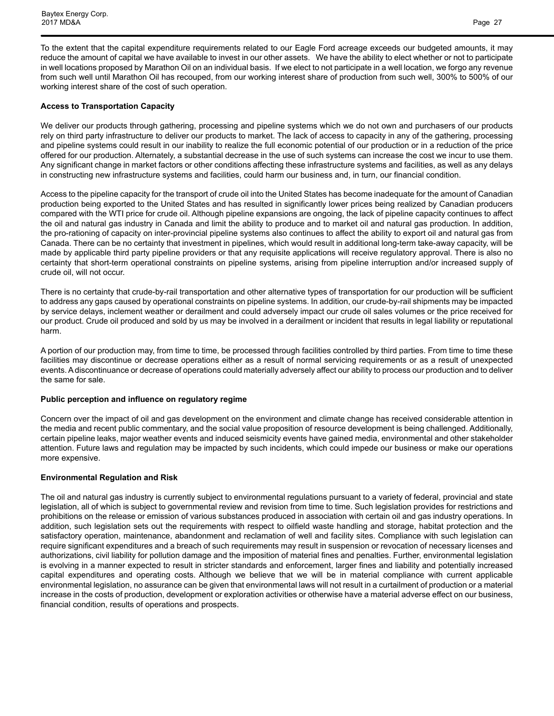To the extent that the capital expenditure requirements related to our Eagle Ford acreage exceeds our budgeted amounts, it may reduce the amount of capital we have available to invest in our other assets. We have the ability to elect whether or not to participate in well locations proposed by Marathon Oil on an individual basis. If we elect to not participate in a well location, we forgo any revenue from such well until Marathon Oil has recouped, from our working interest share of production from such well, 300% to 500% of our working interest share of the cost of such operation.

## **Access to Transportation Capacity**

We deliver our products through gathering, processing and pipeline systems which we do not own and purchasers of our products rely on third party infrastructure to deliver our products to market. The lack of access to capacity in any of the gathering, processing and pipeline systems could result in our inability to realize the full economic potential of our production or in a reduction of the price offered for our production. Alternately, a substantial decrease in the use of such systems can increase the cost we incur to use them. Any significant change in market factors or other conditions affecting these infrastructure systems and facilities, as well as any delays in constructing new infrastructure systems and facilities, could harm our business and, in turn, our financial condition.

Access to the pipeline capacity for the transport of crude oil into the United States has become inadequate for the amount of Canadian production being exported to the United States and has resulted in significantly lower prices being realized by Canadian producers compared with the WTI price for crude oil. Although pipeline expansions are ongoing, the lack of pipeline capacity continues to affect the oil and natural gas industry in Canada and limit the ability to produce and to market oil and natural gas production. In addition, the pro-rationing of capacity on inter-provincial pipeline systems also continues to affect the ability to export oil and natural gas from Canada. There can be no certainty that investment in pipelines, which would result in additional long-term take-away capacity, will be made by applicable third party pipeline providers or that any requisite applications will receive regulatory approval. There is also no certainty that short-term operational constraints on pipeline systems, arising from pipeline interruption and/or increased supply of crude oil, will not occur.

There is no certainty that crude-by-rail transportation and other alternative types of transportation for our production will be sufficient to address any gaps caused by operational constraints on pipeline systems. In addition, our crude-by-rail shipments may be impacted by service delays, inclement weather or derailment and could adversely impact our crude oil sales volumes or the price received for our product. Crude oil produced and sold by us may be involved in a derailment or incident that results in legal liability or reputational harm.

A portion of our production may, from time to time, be processed through facilities controlled by third parties. From time to time these facilities may discontinue or decrease operations either as a result of normal servicing requirements or as a result of unexpected events. Adiscontinuance or decrease of operations could materially adversely affect our ability to process our production and to deliver the same for sale.

## **Public perception and influence on regulatory regime**

Concern over the impact of oil and gas development on the environment and climate change has received considerable attention in the media and recent public commentary, and the social value proposition of resource development is being challenged. Additionally, certain pipeline leaks, major weather events and induced seismicity events have gained media, environmental and other stakeholder attention. Future laws and regulation may be impacted by such incidents, which could impede our business or make our operations more expensive.

## **Environmental Regulation and Risk**

The oil and natural gas industry is currently subject to environmental regulations pursuant to a variety of federal, provincial and state legislation, all of which is subject to governmental review and revision from time to time. Such legislation provides for restrictions and prohibitions on the release or emission of various substances produced in association with certain oil and gas industry operations. In addition, such legislation sets out the requirements with respect to oilfield waste handling and storage, habitat protection and the satisfactory operation, maintenance, abandonment and reclamation of well and facility sites. Compliance with such legislation can require significant expenditures and a breach of such requirements may result in suspension or revocation of necessary licenses and authorizations, civil liability for pollution damage and the imposition of material fines and penalties. Further, environmental legislation is evolving in a manner expected to result in stricter standards and enforcement, larger fines and liability and potentially increased capital expenditures and operating costs. Although we believe that we will be in material compliance with current applicable environmental legislation, no assurance can be given that environmental laws will not result in a curtailment of production or a material increase in the costs of production, development or exploration activities or otherwise have a material adverse effect on our business, financial condition, results of operations and prospects.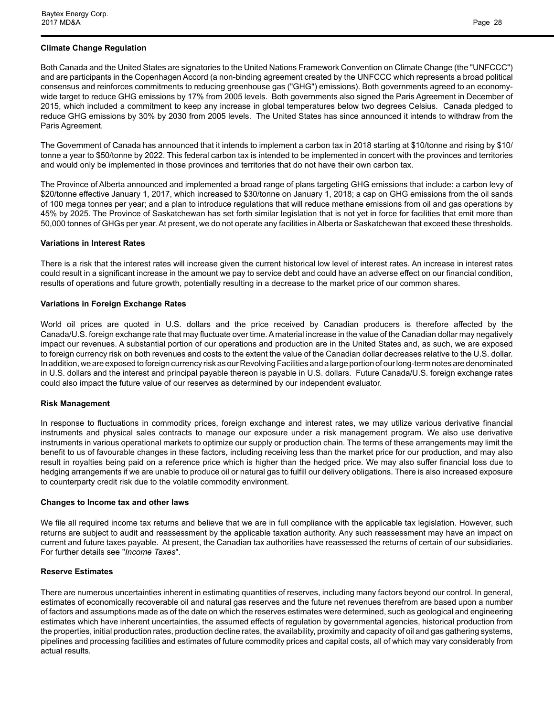## **Climate Change Regulation**

Both Canada and the United States are signatories to the United Nations Framework Convention on Climate Change (the "UNFCCC") and are participants in the Copenhagen Accord (a non-binding agreement created by the UNFCCC which represents a broad political consensus and reinforces commitments to reducing greenhouse gas ("GHG") emissions). Both governments agreed to an economywide target to reduce GHG emissions by 17% from 2005 levels. Both governments also signed the Paris Agreement in December of 2015, which included a commitment to keep any increase in global temperatures below two degrees Celsius. Canada pledged to reduce GHG emissions by 30% by 2030 from 2005 levels. The United States has since announced it intends to withdraw from the Paris Agreement.

The Government of Canada has announced that it intends to implement a carbon tax in 2018 starting at \$10/tonne and rising by \$10/ tonne a year to \$50/tonne by 2022. This federal carbon tax is intended to be implemented in concert with the provinces and territories and would only be implemented in those provinces and territories that do not have their own carbon tax.

The Province of Alberta announced and implemented a broad range of plans targeting GHG emissions that include: a carbon levy of \$20/tonne effective January 1, 2017, which increased to \$30/tonne on January 1, 2018; a cap on GHG emissions from the oil sands of 100 mega tonnes per year; and a plan to introduce regulations that will reduce methane emissions from oil and gas operations by 45% by 2025. The Province of Saskatchewan has set forth similar legislation that is not yet in force for facilities that emit more than 50,000 tonnes of GHGs per year. At present, we do not operate any facilities in Alberta or Saskatchewan that exceed these thresholds.

## **Variations in Interest Rates**

There is a risk that the interest rates will increase given the current historical low level of interest rates. An increase in interest rates could result in a significant increase in the amount we pay to service debt and could have an adverse effect on our financial condition, results of operations and future growth, potentially resulting in a decrease to the market price of our common shares.

## **Variations in Foreign Exchange Rates**

World oil prices are quoted in U.S. dollars and the price received by Canadian producers is therefore affected by the Canada/U.S. foreign exchange rate that may fluctuate over time. A material increase in the value of the Canadian dollar may negatively impact our revenues. A substantial portion of our operations and production are in the United States and, as such, we are exposed to foreign currency risk on both revenues and costs to the extent the value of the Canadian dollar decreases relative to the U.S. dollar. In addition, we are exposed to foreign currency risk as our Revolving Facilities and a large portion of our long-term notes are denominated in U.S. dollars and the interest and principal payable thereon is payable in U.S. dollars. Future Canada/U.S. foreign exchange rates could also impact the future value of our reserves as determined by our independent evaluator.

## **Risk Management**

In response to fluctuations in commodity prices, foreign exchange and interest rates, we may utilize various derivative financial instruments and physical sales contracts to manage our exposure under a risk management program. We also use derivative instruments in various operational markets to optimize our supply or production chain. The terms of these arrangements may limit the benefit to us of favourable changes in these factors, including receiving less than the market price for our production, and may also result in royalties being paid on a reference price which is higher than the hedged price. We may also suffer financial loss due to hedging arrangements if we are unable to produce oil or natural gas to fulfill our delivery obligations. There is also increased exposure to counterparty credit risk due to the volatile commodity environment.

## **Changes to Income tax and other laws**

We file all required income tax returns and believe that we are in full compliance with the applicable tax legislation. However, such returns are subject to audit and reassessment by the applicable taxation authority. Any such reassessment may have an impact on current and future taxes payable. At present, the Canadian tax authorities have reassessed the returns of certain of our subsidiaries. For further details see "*Income Taxes*".

## **Reserve Estimates**

There are numerous uncertainties inherent in estimating quantities of reserves, including many factors beyond our control. In general, estimates of economically recoverable oil and natural gas reserves and the future net revenues therefrom are based upon a number of factors and assumptions made as of the date on which the reserves estimates were determined, such as geological and engineering estimates which have inherent uncertainties, the assumed effects of regulation by governmental agencies, historical production from the properties, initial production rates, production decline rates, the availability, proximity and capacity of oil and gas gathering systems, pipelines and processing facilities and estimates of future commodity prices and capital costs, all of which may vary considerably from actual results.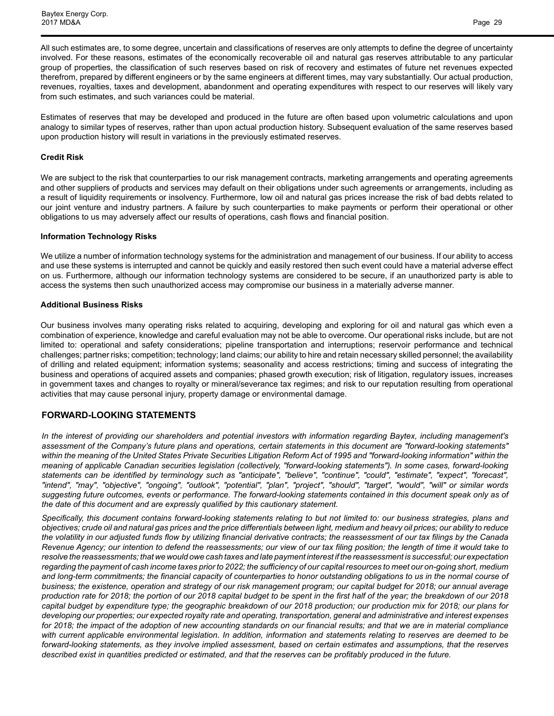All such estimates are, to some degree, uncertain and classifications of reserves are only attempts to define the degree of uncertainty involved. For these reasons, estimates of the economically recoverable oil and natural gas reserves attributable to any particular group of properties, the classification of such reserves based on risk of recovery and estimates of future net revenues expected therefrom, prepared by different engineers or by the same engineers at different times, may vary substantially. Our actual production, revenues, royalties, taxes and development, abandonment and operating expenditures with respect to our reserves will likely vary from such estimates, and such variances could be material.

Estimates of reserves that may be developed and produced in the future are often based upon volumetric calculations and upon analogy to similar types of reserves, rather than upon actual production history. Subsequent evaluation of the same reserves based upon production history will result in variations in the previously estimated reserves.

#### **Credit Risk**

We are subject to the risk that counterparties to our risk management contracts, marketing arrangements and operating agreements and other suppliers of products and services may default on their obligations under such agreements or arrangements, including as a result of liquidity requirements or insolvency. Furthermore, low oil and natural gas prices increase the risk of bad debts related to our joint venture and industry partners. A failure by such counterparties to make payments or perform their operational or other obligations to us may adversely affect our results of operations, cash flows and financial position.

#### **Information Technology Risks**

We utilize a number of information technology systems for the administration and management of our business. If our ability to access and use these systems is interrupted and cannot be quickly and easily restored then such event could have a material adverse effect on us. Furthermore, although our information technology systems are considered to be secure, if an unauthorized party is able to access the systems then such unauthorized access may compromise our business in a materially adverse manner.

#### **Additional Business Risks**

Our business involves many operating risks related to acquiring, developing and exploring for oil and natural gas which even a combination of experience, knowledge and careful evaluation may not be able to overcome. Our operational risks include, but are not limited to: operational and safety considerations; pipeline transportation and interruptions; reservoir performance and technical challenges; partner risks; competition; technology; land claims; our ability to hire and retain necessary skilled personnel; the availability of drilling and related equipment; information systems; seasonality and access restrictions; timing and success of integrating the business and operations of acquired assets and companies; phased growth execution; risk of litigation, regulatory issues, increases in government taxes and changes to royalty or mineral/severance tax regimes; and risk to our reputation resulting from operational activities that may cause personal injury, property damage or environmental damage.

## **FORWARD-LOOKING STATEMENTS**

*In the interest of providing our shareholders and potential investors with information regarding Baytex, including management's assessment of the Company's future plans and operations, certain statements in this document are "forward-looking statements" within the meaning of the United States Private Securities Litigation Reform Act of 1995 and "forward-looking information" within the meaning of applicable Canadian securities legislation (collectively, "forward-looking statements"). In some cases, forward-looking statements can be identified by terminology such as "anticipate", "believe", "continue", "could", "estimate", "expect", "forecast", "intend", "may", "objective", "ongoing", "outlook", "potential", "plan", "project", "should", "target", "would", "will" or similar words suggesting future outcomes, events or performance. The forward-looking statements contained in this document speak only as of the date of this document and are expressly qualified by this cautionary statement.*

*Specifically, this document contains forward-looking statements relating to but not limited to: our business strategies, plans and objectives; crude oil and natural gas prices and the price differentials between light, medium and heavy oil prices; our ability to reduce the volatility in our adjusted funds flow by utilizing financial derivative contracts; the reassessment of our tax filings by the Canada Revenue Agency; our intention to defend the reassessments; our view of our tax filing position; the length of time it would take to resolve the reassessments; that we would owe cash taxes and late payment interest if the reassessment is successful; our expectation regarding the payment of cash income taxes prior to 2022; the sufficiency of our capital resources to meet our on-going short, medium and long-term commitments; the financial capacity of counterparties to honor outstanding obligations to us in the normal course of business; the existence, operation and strategy of our risk management program; our capital budget for 2018; our annual average production rate for 2018; the portion of our 2018 capital budget to be spent in the first half of the year; the breakdown of our 2018 capital budget by expenditure type; the geographic breakdown of our 2018 production; our production mix for 2018; our plans for developing our properties; our expected royalty rate and operating, transportation, general and administrative and interest expenses for 2018; the impact of the adoption of new accounting standards on our financial results; and that we are in material compliance with current applicable environmental legislation. In addition, information and statements relating to reserves are deemed to be forward-looking statements, as they involve implied assessment, based on certain estimates and assumptions, that the reserves described exist in quantities predicted or estimated, and that the reserves can be profitably produced in the future.*